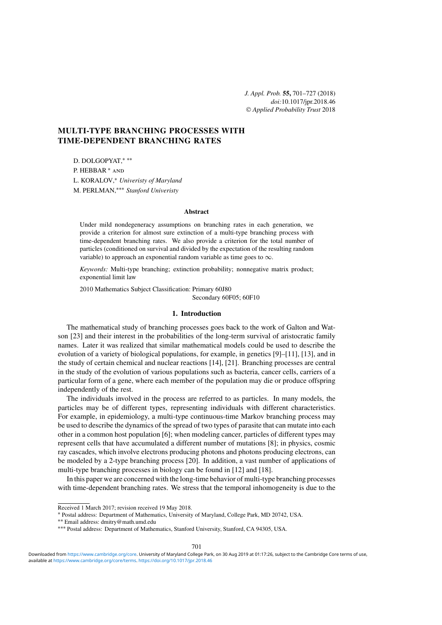# **MULTI-TYPE BRANCHING PROCESSES WITH TIME-DEPENDENT BRANCHING RATES**

D. DOLGOPYAT,∗ ∗∗ P. HEBBAR <sup>∗</sup> and L. KORALOV,<sup>∗</sup> *Univeristy of Maryland* M. PERLMAN,∗∗∗ *Stanford Univeristy*

#### **Abstract**

Under mild nondegeneracy assumptions on branching rates in each generation, we provide a criterion for almost sure extinction of a multi-type branching process with time-dependent branching rates. We also provide a criterion for the total number of particles (conditioned on survival and divided by the expectation of the resulting random variable) to approach an exponential random variable as time goes to  $\infty$ .

*Keywords:* Multi-type branching; extinction probability; nonnegative matrix product; exponential limit law

2010 Mathematics Subject Classification: Primary 60J80

Secondary 60F05; 60F10

## **1. Introduction**

The mathematical study of branching processes goes back to the work of Galton and Watson [\[23\]](#page-26-0) and their interest in the probabilities of the long-term survival of aristocratic family names. Later it was realized that similar mathematical models could be used to describe the evolution of a variety of biological populations, for example, in genetics [\[9\]](#page-26-0)–[\[11\]](#page-26-0), [\[13\]](#page-26-0), and in the study of certain chemical and nuclear reactions [\[14\]](#page-26-0), [\[21\]](#page-26-0). Branching processes are central in the study of the evolution of various populations such as bacteria, cancer cells, carriers of a particular form of a gene, where each member of the population may die or produce offspring independently of the rest.

The individuals involved in the process are referred to as particles. In many models, the particles may be of different types, representing individuals with different characteristics. For example, in epidemiology, a multi-type continuous-time Markov branching process may be used to describe the dynamics of the spread of two types of parasite that can mutate into each other in a common host population [\[6\]](#page-26-0); when modeling cancer, particles of different types may represent cells that have accumulated a different number of mutations [\[8\]](#page-26-0); in physics, cosmic ray cascades, which involve electrons producing photons and photons producing electrons, can be modeled by a 2-type branching process [\[20\]](#page-26-0). In addition, a vast number of applications of multi-type branching processes in biology can be found in [\[12\]](#page-26-0) and [\[18\]](#page-26-0).

In this paper we are concerned with the long-time behavior of multi-type branching processes with time-dependent branching rates. We stress that the temporal inhomogeneity is due to the

Received 1 March 2017; revision received 19 May 2018.

<sup>∗</sup> Postal address: Department of Mathematics, University of Maryland, College Park, MD 20742, USA.

<sup>\*\*\*</sup> Postal address: Department of Mathematics, Stanford University, Stanford, CA 94305, USA.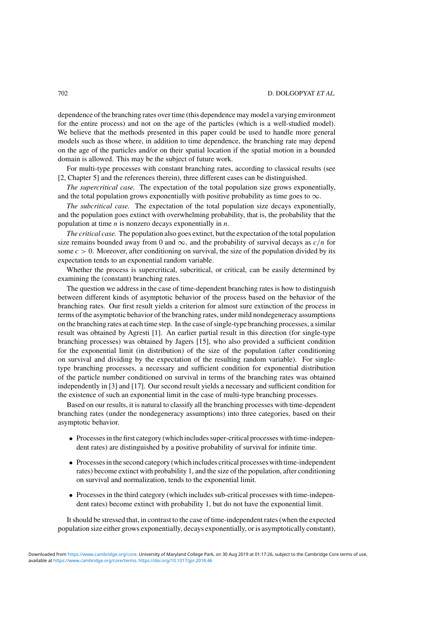dependence of the branching rates over time (this dependence may model a varying environment for the entire process) and not on the age of the particles (which is a well-studied model). We believe that the methods presented in this paper could be used to handle more general models such as those where, in addition to time dependence, the branching rate may depend on the age of the particles and/or on their spatial location if the spatial motion in a bounded domain is allowed. This may be the subject of future work.

For multi-type processes with constant branching rates, according to classical results (see [\[2,](#page-26-0) Chapter 5] and the references therein), three different cases can be distinguished.

*The supercritical case.* The expectation of the total population size grows exponentially, and the total population grows exponentially with positive probability as time goes to  $\infty$ .

*The subcritical case.* The expectation of the total population size decays exponentially, and the population goes extinct with overwhelming probability, that is, the probability that the population at time *n* is nonzero decays exponentially in *n*.

*The critical case.* The population also goes extinct, but the expectation of the total population size remains bounded away from 0 and  $\infty$ , and the probability of survival decays as  $c/n$  for some  $c > 0$ . Moreover, after conditioning on survival, the size of the population divided by its expectation tends to an exponential random variable.

Whether the process is supercritical, subcritical, or critical, can be easily determined by examining the (constant) branching rates.

The question we address in the case of time-dependent branching rates is how to distinguish between different kinds of asymptotic behavior of the process based on the behavior of the branching rates. Our first result yields a criterion for almost sure extinction of the process in terms of the asymptotic behavior of the branching rates, under mild nondegeneracy assumptions on the branching rates at each time step. In the case of single-type branching processes, a similar result was obtained by Agresti [\[1\]](#page-26-0). An earlier partial result in this direction (for single-type branching processes) was obtained by Jagers [\[15\]](#page-26-0), who also provided a sufficient condition for the exponential limit (in distribution) of the size of the population (after conditioning on survival and dividing by the expectation of the resulting random variable). For singletype branching processes, a necessary and sufficient condition for exponential distribution of the particle number conditioned on survival in terms of the branching rates was obtained independently in [\[3\]](#page-26-0) and [\[17\]](#page-26-0). Our second result yields a necessary and sufficient condition for the existence of such an exponential limit in the case of multi-type branching processes.

Based on our results, it is natural to classify all the branching processes with time-dependent branching rates (under the nondegeneracy assumptions) into three categories, based on their asymptotic behavior.

- Processes in the first category (which includes super-critical processes with time-independent rates) are distinguished by a positive probability of survival for infinite time.
- Processes in the second category (which includes critical processes with time-independent rates) become extinct with probability 1, and the size of the population, after conditioning on survival and normalization, tends to the exponential limit.
- Processes in the third category (which includes sub-critical processes with time-independent rates) become extinct with probability 1, but do not have the exponential limit.

It should be stressed that, in contrast to the case of time-independent rates (when the expected population size either grows exponentially, decays exponentially, or is asymptotically constant),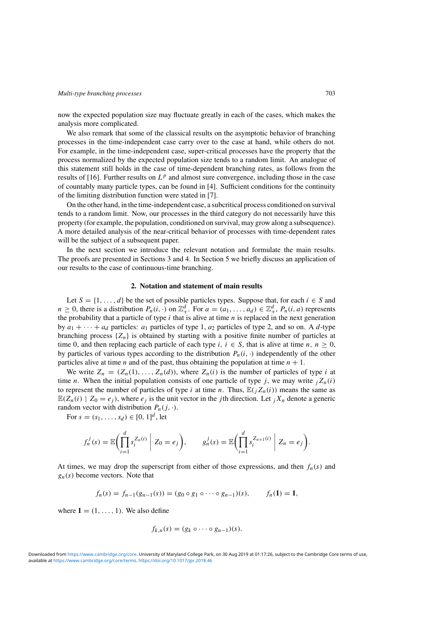<span id="page-2-0"></span>now the expected population size may fluctuate greatly in each of the cases, which makes the analysis more complicated.

We also remark that some of the classical results on the asymptotic behavior of branching processes in the time-independent case carry over to the case at hand, while others do not. For example, in the time-independent case, super-critical processes have the property that the process normalized by the expected population size tends to a random limit. An analogue of this statement still holds in the case of time-dependent branching rates, as follows from the results of [\[16\]](#page-26-0). Further results on *L<sup>p</sup>* and almost sure convergence, including those in the case of countably many particle types, can be found in [\[4\]](#page-26-0). Sufficient conditions for the continuity of the limiting distribution function were stated in [\[7\]](#page-26-0).

On the other hand, in the time-independent case, a subcritical process conditioned on survival tends to a random limit. Now, our processes in the third category do not necessarily have this property (for example, the population, conditioned on survival, may grow along a subsequence). A more detailed analysis of the near-critical behavior of processes with time-dependent rates will be the subject of a subsequent paper.

In the next section we introduce the relevant notation and formulate the main results. The proofs are presented in Sections [3](#page-7-0) and [4.](#page-11-0) In Section [5](#page-21-0) we briefly discuss an application of our results to the case of continuous-time branching.

## **2. Notation and statement of main results**

Let  $S = \{1, \ldots, d\}$  be the set of possible particles types. Suppose that, for each  $i \in S$  and  $n \geq 0$ , there is a distribution  $P_n(i, \cdot)$  on  $\mathbb{Z}_+^d$ . For  $a = (a_1, \ldots, a_d) \in \mathbb{Z}_+^d$ ,  $P_n(i, a)$  represents the probability that a particle of type *i* that is alive at time *n* is replaced in the next generation by  $a_1 + \cdots + a_d$  particles:  $a_1$  particles of type 1,  $a_2$  particles of type 2, and so on. A *d*-type branching process {*Zn*} is obtained by starting with a positive finite number of particles at time 0, and then replacing each particle of each type *i*,  $i \in S$ , that is alive at time *n*,  $n \ge 0$ , by particles of various types according to the distribution  $P_n(i, \cdot)$  independently of the other particles alive at time *n* and of the past, thus obtaining the population at time  $n + 1$ .

We write  $Z_n = (Z_n(1), \ldots, Z_n(d))$ , where  $Z_n(i)$  is the number of particles of type *i* at time *n*. When the initial population consists of one particle of type *j*, we may write  $iZ_n(i)$ to represent the number of particles of type *i* at time *n*. Thus,  $\mathbb{E}(\chi_n(i))$  means the same as  $\mathbb{E}(Z_n(i) | Z_0 = e_i)$ , where  $e_i$  is the unit vector in the *j*th direction. Let  $_i X_n$  denote a generic random vector with distribution  $P_n(j, \cdot)$ .

For  $s = (s_1, \ldots, s_d) \in [0, 1]^d$ , let

$$
f_n^j(s) = \mathbb{E}\bigg(\prod_{i=1}^d s_i^{Z_n(i)} \mid Z_0 = e_j\bigg), \qquad g_n^j(s) = \mathbb{E}\bigg(\prod_{i=1}^d s_i^{Z_{n+1}(i)} \mid Z_n = e_j\bigg).
$$

At times, we may drop the superscript from either of those expressions, and then  $f_n(s)$  and *gn(s)* become vectors. Note that

$$
f_n(s) = f_{n-1}(g_{n-1}(s)) = (g_0 \circ g_1 \circ \cdots \circ g_{n-1})(s), \qquad f_n(1) = 1,
$$

where  $\mathbf{1} = (1, \ldots, 1)$ . We also define

$$
f_{k,n}(s)=(g_k\circ\cdots\circ g_{n-1})(s).
$$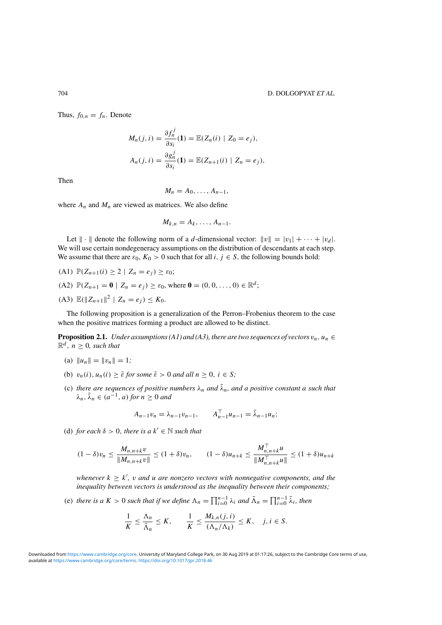<span id="page-3-0"></span>Thus,  $f_{0,n} = f_n$ . Denote

$$
M_n(j, i) = \frac{\partial f_n^j}{\partial s_i}(\mathbf{1}) = \mathbb{E}(Z_n(i) \mid Z_0 = e_j),
$$
  

$$
A_n(j, i) = \frac{\partial g_n^j}{\partial s_i}(\mathbf{1}) = \mathbb{E}(Z_{n+1}(i) \mid Z_n = e_j),
$$

Then

$$
M_n=A_0,\ldots,A_{n-1},
$$

where  $A_n$  and  $M_n$  are viewed as matrices. We also define

$$
M_{k,n}=A_k,\ldots,A_{n-1}.
$$

Let  $\|\cdot\|$  denote the following norm of a *d*-dimensional vector:  $\|v\| = |v_1| + \cdots + |v_d|$ . We will use certain nondegeneracy assumptions on the distribution of descendants at each step. We assume that there are  $\varepsilon_0$ ,  $K_0 > 0$  such that for all *i*,  $j \in S$ , the following bounds hold:

- (A1)  $\mathbb{P}(Z_{n+1}(i) \geq 2 \mid Z_n = e_i) \geq \varepsilon_0;$
- $(A2)$   $\mathbb{P}(Z_{n+1} = \mathbf{0} \mid Z_n = e_i) > \varepsilon_0$ , where  $\mathbf{0} = (0, 0, \ldots, 0) \in \mathbb{R}^d$ ;
- (A3)  $\mathbb{E}(\|Z_{n+1}\|^2 \mid Z_n = e_i) \leq K_0$ .

The following proposition is a generalization of the Perron–Frobenius theorem to the case when the positive matrices forming a product are allowed to be distinct.

**Proposition 2.1.** *Under assumptions (A1) and (A3), there are two sequences of vectors*  $v_n$ ,  $u_n \in$  $\mathbb{R}^d$ ,  $n \geq 0$ , such that

- (a)  $||u_n|| = ||v_n|| = 1;$
- (b)  $v_n(i)$ ,  $u_n(i) \ge \overline{\varepsilon}$  *for some*  $\overline{\varepsilon} > 0$  *and all*  $n \ge 0$ ,  $i \in S$ *;*
- (c) *there are sequences of positive numbers*  $\lambda_n$  *and*  $\tilde{\lambda}_n$ *, and a positive constant a such that*  $\lambda_n$ ,  $\tilde{\lambda}_n \in (a^{-1}, a)$  *for*  $n > 0$  *and*

$$
A_{n-1}v_n = \lambda_{n-1}v_{n-1}, \qquad A_{n-1}^{\top}u_{n-1} = \tilde{\lambda}_{n-1}u_n;
$$

(d) *for each*  $\delta > 0$ *, there is a*  $k' \in \mathbb{N}$  *such that* 

$$
(1 - \delta)v_n \le \frac{M_{n,n+k}v}{\|M_{n,n+k}v\|} \le (1 + \delta)v_n, \qquad (1 - \delta)u_{n+k} \le \frac{M_{n,n+k}^{\top}u}{\|M_{n,n+k}^{\top}u\|} \le (1 + \delta)u_{n+k}
$$

 $\mathbf{w}$  *whenever*  $k \geq k'$ ,  $\mathbf{v}$  *and*  $\mathbf{u}$  *are nonzero vectors with nonnegative components, and the inequality between vectors is understood as the inequality between their components;*

(e) *there is a*  $K > 0$  *such that if we define*  $\Lambda_n = \prod_{i=0}^{n-1} \lambda_i$  *and*  $\tilde{\Lambda}_n = \prod_{i=0}^{n-1} \tilde{\lambda}_i$ *, then* 

$$
\frac{1}{K} \le \frac{\Lambda_n}{\tilde{\Lambda}_n} \le K, \qquad \frac{1}{K} \le \frac{M_{k,n}(j,i)}{(\Lambda_n/\Lambda_k)} \le K, \quad j,i \in S.
$$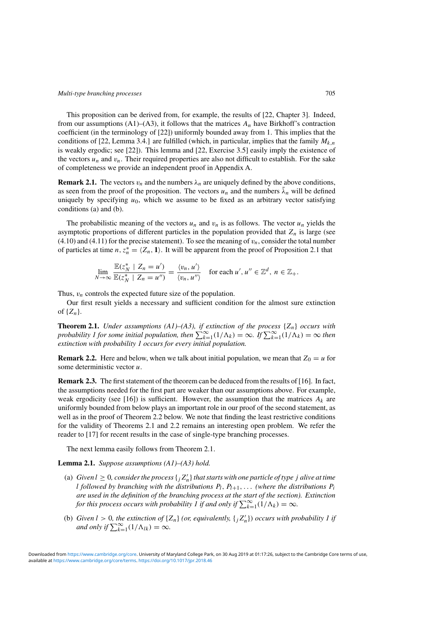<span id="page-4-0"></span>This proposition can be derived from, for example, the results of [\[22,](#page-26-0) Chapter 3]. Indeed, from our assumptions  $(A1)$ – $(A3)$ , it follows that the matrices  $A_n$  have Birkhoff's contraction coefficient (in the terminology of [\[22\]](#page-26-0)) uniformly bounded away from 1. This implies that the conditions of [\[22,](#page-26-0) Lemma 3.4.] are fulfilled (which, in particular, implies that the family  $M_{k,n}$ is weakly ergodic; see [\[22\]](#page-26-0)). This lemma and [\[22,](#page-26-0) Exercise 3.5] easily imply the existence of the vectors  $u_n$  and  $v_n$ . Their required properties are also not difficult to establish. For the sake of completeness we provide an independent proof in Appendix [A.](#page-22-0)

**Remark 2.1.** The vectors  $v_n$  and the numbers  $\lambda_n$  are uniquely defined by the above conditions, as seen from the proof of the proposition. The vectors  $u_n$  and the numbers  $\lambda_n$  will be defined uniquely by specifying  $u_0$ , which we assume to be fixed as an arbitrary vector satisfying conditions (a) and (b).

The probabilistic meaning of the vectors  $u_n$  and  $v_n$  is as follows. The vector  $u_n$  yields the asymptotic proportions of different particles in the population provided that  $Z_n$  is large (see  $(4.10)$  and  $(4.11)$  for the precise statement). To see the meaning of  $v_n$ , consider the total number of particles at time *n*,  $z_n^* = \langle Z_n, 1 \rangle$ . It will be apparent from the proof of Proposition [2.1](#page-3-0) that

$$
\lim_{N \to \infty} \frac{\mathbb{E}(z_N^* \mid Z_n = u')}{\mathbb{E}(z_N^* \mid Z_n = u'')} = \frac{\langle v_n, u' \rangle}{\langle v_n, u'' \rangle} \quad \text{for each } u', u'' \in \mathbb{Z}^d, n \in \mathbb{Z}_+.
$$

Thus,  $v_n$  controls the expected future size of the population.

Our first result yields a necessary and sufficient condition for the almost sure extinction of  $\{Z_n\}$ .

**Theorem 2.1.** *Under assumptions (A1)–(A3), if extinction of the process* {*Zn*} *occurs with probability 1 for some initial population, then*  $\sum_{k=1}^{\infty} (1/\Lambda_k) = \infty$ *. If*  $\sum_{k=1}^{\infty} (1/\Lambda_k) = \infty$  *then extinction with probability 1 occurs for every initial population.*

**Remark 2.2.** Here and below, when we talk about initial population, we mean that  $Z_0 = u$  for some deterministic vector *u*.

**Remark 2.3.** The first statement of the theorem can be deduced from the results of [\[16\]](#page-26-0). In fact, the assumptions needed for the first part are weaker than our assumptions above. For example, weak ergodicity (see [\[16\]](#page-26-0)) is sufficient. However, the assumption that the matrices  $A_k$  are uniformly bounded from below plays an important role in our proof of the second statement, as well as in the proof of Theorem [2.2](#page-5-0) below. We note that finding the least restrictive conditions for the validity of Theorems 2.1 and [2.2](#page-5-0) remains an interesting open problem. We refer the reader to [\[17\]](#page-26-0) for recent results in the case of single-type branching processes.

The next lemma easily follows from Theorem 2.1.

## **Lemma 2.1.** *Suppose assumptions (A1)–(A3) hold.*

- (a) *Given*  $l \geq 0$ , consider the process  $\{j Z'_n\}$  that starts with one particle of type j alive at time *l followed by branching with the distributions*  $P_l$ ,  $P_{l+1}$ ,... *(where the distributions*  $P_i$ *are used in the definition of the branching process at the start of the section). Extinction for this process occurs with probability 1 if and only if*  $\sum_{k=1}^{\infty} (1/\Lambda_k) = \infty$ *.*
- (b) *Given*  $l > 0$ *, the extinction of*  $\{Z_n\}$  *(or, equivalently,*  $\{j\,Z'_n\}$ *) occurs with probability* 1 *if and only if*  $\sum_{k=1}^{\infty} (1/\Lambda_{lk}) = \infty$ *.*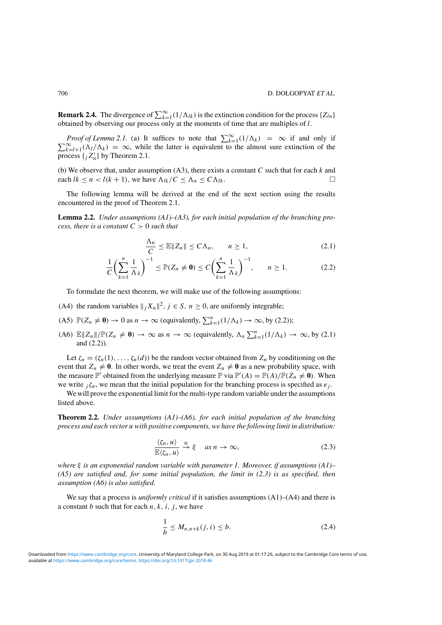<span id="page-5-0"></span>**Remark 2.4.** The divergence of  $\sum_{k=1}^{\infty} (1/\Lambda_{lk})$  is the extinction condition for the process { $Z_{ln}$ } obtained by observing our process only at the moments of time that are multiples of *l*.

*Proof of Lemma* [2.1.](#page-4-0) (a) It suffices to note that  $\sum_{k=1}^{\infty} (1/\Lambda_k) = \infty$  if and only if  $\infty$  (A<sub>t</sub>(A<sub>t</sub>) = ∞ while the latter is equivalent to the element sure extinction of the  $\sum_{k=l+1}^{\infty} (\Lambda_l/\Lambda_k) = \infty$ , while the latter is equivalent to the almost sure extinction of the process  $\{ _jZ_n'\}$  by Theorem [2.1.](#page-4-0)

(b) We observe that, under assumption (A3), there exists a constant *C* such that for each *k* and each  $lk \leq n < l(k+1)$ , we have  $\Lambda_{lk}/C \leq \Lambda_n \leq C \Lambda_{lk}$ .

The following lemma will be derived at the end of the next section using the results encountered in the proof of Theorem [2.1.](#page-4-0)

**Lemma 2.2.** *Under assumptions (A1)–(A3), for each initial population of the branching process, there is a constant C >* 0 *such that*

$$
\frac{\Lambda_n}{C} \leq \mathbb{E} \|Z_n\| \leq C\Lambda_n, \qquad n \geq 1,
$$
\n(2.1)

$$
\frac{1}{C} \left( \sum_{k=1}^{n} \frac{1}{\Lambda_k} \right)^{-1} \le \mathbb{P}(Z_n \neq \mathbf{0}) \le C \left( \sum_{k=1}^{n} \frac{1}{\Lambda_k} \right)^{-1}, \qquad n \ge 1.
$$
 (2.2)

To formulate the next theorem, we will make use of the following assumptions:

- (A4) the random variables  $||{}_{i}X_{n}||^{2}$ ,  $j \in S$ ,  $n \ge 0$ , are uniformly integrable;
- (A5)  $\mathbb{P}(Z_n \neq \mathbf{0}) \to 0$  as  $n \to \infty$  (equivalently,  $\sum_{k=1}^n (1/\Lambda_k) \to \infty$ , by (2.2));
- (A6)  $\mathbb{E}||Z_n||/\mathbb{P}(Z_n \neq 0) \to \infty$  as  $n \to \infty$  (equivalently,  $\Lambda_n \sum_{k=1}^n (1/\Lambda_k) \to \infty$ , by (2.1) and (2.2)).

Let  $\zeta_n = (\zeta_n(1), \ldots, \zeta_n(d))$  be the random vector obtained from  $Z_n$  by conditioning on the event that  $Z_n \neq 0$ . In other words, we treat the event  $Z_n \neq 0$  as a new probability space, with the measure  $\mathbb{P}'$  obtained from the underlying measure  $\mathbb{P}$  via  $\mathbb{P}'(A) = \mathbb{P}(A)/\mathbb{P}(Z_n \neq \mathbf{0})$ . When we write  ${}_{i}\zeta_{n}$ , we mean that the initial population for the branching process is specified as  $e_{i}$ .

We will prove the exponential limit for the multi-type random variable under the assumptions listed above.

**Theorem 2.2.** *Under assumptions (A1)–(A6), for each initial population of the branching process and each vector u with positive components, we have the following limit in distribution:*

$$
\frac{\langle \zeta_n, u \rangle}{\mathbb{E} \langle \zeta_n, u \rangle} \xrightarrow{\mathbf{D}} \xi \quad \text{as } n \to \infty,
$$
\n(2.3)

*where ξ is an exponential random variable with parameter 1. Moreover, if assumptions (A1)– (A5) are satisfied and, for some initial population, the limit in (2.3) is as specified, then assumption (A6) is also satisfied.*

We say that a process is *uniformly critical* if it satisfies assumptions (A1)–(A4) and there is a constant *b* such that for each  $n, k, i, j$ , we have

$$
\frac{1}{b} \le M_{n,n+k}(j,i) \le b. \tag{2.4}
$$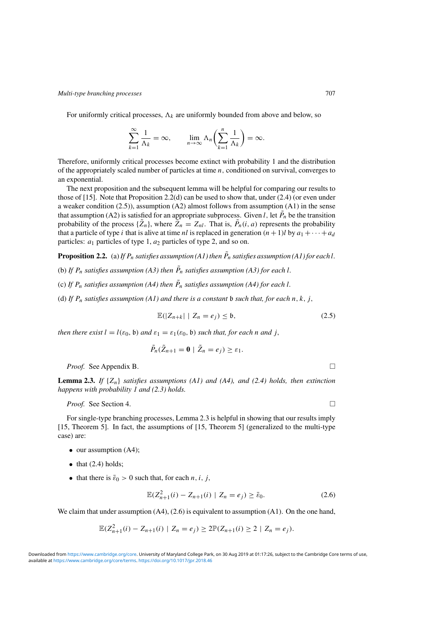<span id="page-6-0"></span>For uniformly critical processes,  $\Lambda_k$  are uniformly bounded from above and below, so

$$
\sum_{k=1}^{\infty} \frac{1}{\Lambda_k} = \infty, \qquad \lim_{n \to \infty} \Lambda_n \left( \sum_{k=1}^n \frac{1}{\Lambda_k} \right) = \infty.
$$

Therefore, uniformly critical processes become extinct with probability 1 and the distribution of the appropriately scaled number of particles at time *n,* conditioned on survival, converges to an exponential.

The next proposition and the subsequent lemma will be helpful for comparing our results to those of [\[15\]](#page-26-0). Note that Proposition 2.2(d) can be used to show that, under [\(2.4\)](#page-5-0) (or even under a weaker condition (2.5)), assumption (A2) almost follows from assumption (A1) in the sense that assumption (A2) is satisfied for an appropriate subprocess. Given *l*, let  $\tilde{P}_n$  be the transition probability of the process  $\{\tilde{Z}_n\}$ , where  $\tilde{Z}_n = Z_{nl}$ . That is,  $\tilde{P}_n(i, a)$  represents the probability that a particle of type *i* that is alive at time *nl* is replaced in generation  $(n + 1)$ *l* by  $a_1 + \cdots + a_d$ particles: *a*<sup>1</sup> particles of type 1, *a*<sup>2</sup> particles of type 2, and so on.

**Proposition 2.2.** (a) If  $P_n$  satisfies assumption (A1) then  $\tilde{P}_n$  satisfies assumption (A1) for each  $l$ .

- (b) If  $P_n$  satisfies assumption (A3) then  $\tilde{P}_n$  satisfies assumption (A3) for each *l*.
- (c) If  $P_n$  satisfies assumption (A4) then  $\tilde{P}_n$  satisfies assumption (A4) for each *l*.
- (d) If  $P_n$  *satisfies assumption* (A1) and there is a constant  $\mathfrak b$  *such that, for each*  $n, k, j$ ,

$$
\mathbb{E}(|Z_{n+k}| \mid Z_n = e_j) \leq \mathfrak{b},\tag{2.5}
$$

*then there exist*  $l = l(\varepsilon_0, \mathfrak{b})$  *and*  $\varepsilon_1 = \varepsilon_1(\varepsilon_0, \mathfrak{b})$  *such that, for each n and j,* 

$$
\tilde{P}_n(\tilde{Z}_{n+1}=\mathbf{0}\mid \tilde{Z}_n=e_j)\geq \varepsilon_1.
$$

*Proof.* See Appendix [B.](#page-24-0) □

**Lemma 2.3.** *If*  $\{Z_n\}$  *satisfies assumptions*  $(A1)$  *and*  $(A4)$ *, and*  $(2.4)$  *holds, then extinction happens with probability 1 and [\(2.3\)](#page-5-0) holds.*

*Proof.* See Section [4.](#page-11-0) □

For single-type branching processes, Lemma 2.3 is helpful in showing that our results imply [\[15,](#page-26-0) Theorem 5]. In fact, the assumptions of [\[15,](#page-26-0) Theorem 5] (generalized to the multi-type case) are:

- our assumption (A4);
- $\bullet$  that [\(2.4\)](#page-5-0) holds;
- that there is  $\bar{\varepsilon}_0 > 0$  such that, for each *n*, *i*, *j*,

$$
\mathbb{E}(Z_{n+1}^2(i) - Z_{n+1}(i) \mid Z_n = e_j) \ge \bar{\varepsilon}_0. \tag{2.6}
$$

We claim that under assumption  $(A4)$ ,  $(2.6)$  is equivalent to assumption  $(A1)$ . On the one hand,

$$
\mathbb{E}(Z_{n+1}^2(i)-Z_{n+1}(i)\mid Z_n=e_j)\geq 2\mathbb{P}(Z_{n+1}(i)\geq 2\mid Z_n=e_j).
$$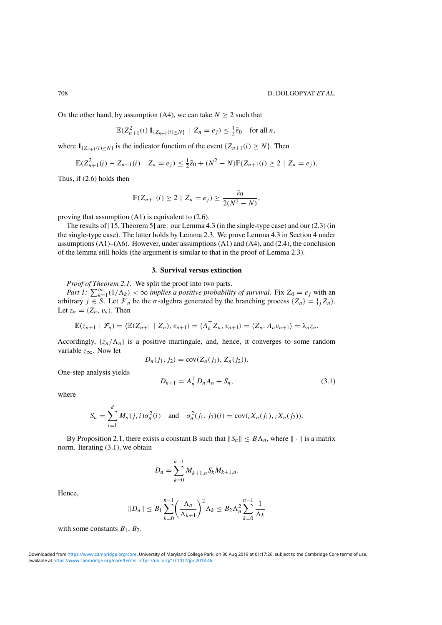<span id="page-7-0"></span>On the other hand, by assumption (A4), we can take  $N \ge 2$  such that

$$
\mathbb{E}(Z_{n+1}^2(i) \mathbf{1}_{\{Z_{n+1}(i) \geq N\}} \mid Z_n = e_j) \leq \frac{1}{2} \bar{\varepsilon}_0 \quad \text{for all } n,
$$

where  $\mathbf{1}_{\{Z_{n+1}(i) \geq N\}}$  is the indicator function of the event  $\{Z_{n+1}(i) \geq N\}$ . Then

$$
\mathbb{E}(Z_{n+1}^2(i)-Z_{n+1}(i) \mid Z_n=e_j) \leq \frac{1}{2}\bar{\varepsilon}_0+(N^2-N)\mathbb{P}(Z_{n+1}(i)\geq 2 \mid Z_n=e_j).
$$

Thus, if [\(2.6\)](#page-6-0) holds then

$$
\mathbb{P}(Z_{n+1}(i) \geq 2 \mid Z_n = e_j) \geq \frac{\bar{\varepsilon}_0}{2(N^2 - N)},
$$

proving that assumption (A1) is equivalent to [\(2.6\)](#page-6-0).

The results of [\[15,](#page-26-0) Theorem 5] are: our Lemma [4.3](#page-14-0) (in the single-type case) and our [\(2.3\)](#page-5-0) (in the single-type case). The latter holds by Lemma [2.3.](#page-6-0) We prove Lemma [4.3](#page-14-0) in Section [4](#page-11-0) under assumptions  $(A1)$ – $(A6)$ . However, under assumptions  $(A1)$  and  $(A4)$ , and  $(2.4)$ , the conclusion of the lemma still holds (the argument is similar to that in the proof of Lemma [2.3\)](#page-6-0).

#### **3. Survival versus extinction**

*Proof of Theorem [2.1.](#page-4-0)* We split the proof into two parts.

*Part 1:*  $\sum_{k=1}^{\infty} (1/\Lambda_k) < \infty$  *implies a positive probability of survival.* Fix  $Z_0 = e_j$  with an arbitrary *j* ∈ *S*. Let  $\mathcal{F}_n$  be the  $\sigma$ -algebra generated by the branching process { $Z_n$ } = {*j* $Z_n$ }. Let  $z_n = \langle Z_n, v_n \rangle$ . Then

$$
\mathbb{E}(z_{n+1} | \mathcal{F}_n) = \langle \mathbb{E}(Z_{n+1} | Z_n), v_{n+1} \rangle = \langle A_n^\top Z_n, v_{n+1} \rangle = \langle Z_n, A_n v_{n+1} \rangle = \lambda_n z_n.
$$

Accordingly,  $\{z_n/\Lambda_n\}$  is a positive martingale, and, hence, it converges to some random variable *z*∞. Now let

$$
D_n(j_1, j_2) = \text{cov}(Z_n(j_1), Z_n(j_2)).
$$

One-step analysis yields

$$
D_{n+1} = A_n^{\top} D_n A_n + S_n, \tag{3.1}
$$

where

$$
S_n = \sum_{i=1}^d M_n(j, i)\sigma_n^2(i) \text{ and } \sigma_n^2(j_1, j_2)(i) = \text{cov}(i X_n(j_1), i X_n(j_2)).
$$

By Proposition [2.1,](#page-3-0) there exists a constant B such that  $||S_n|| \leq B\Lambda_n$ , where  $||\cdot||$  is a matrix norm. Iterating (3.1), we obtain

$$
D_n = \sum_{k=0}^{n-1} M_{k+1,n}^\top S_k M_{k+1,n}.
$$

Hence,

$$
||D_n|| \le B_1 \sum_{k=0}^{n-1} \left(\frac{\Lambda_n}{\Lambda_{k+1}}\right)^2 \Lambda_k \le B_2 \Lambda_n^2 \sum_{k=0}^{n-1} \frac{1}{\Lambda_k}
$$

with some constants  $B_1$ ,  $B_2$ .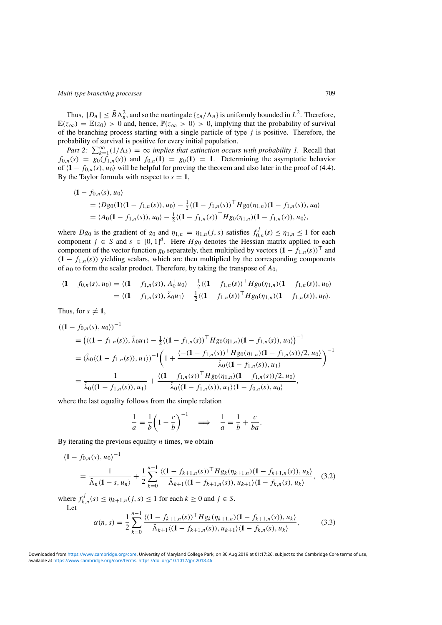<span id="page-8-0"></span>Thus,  $||D_n|| \leq \tilde{B}\Lambda_n^2$ , and so the martingale  $\{z_n/\Lambda_n\}$  is uniformly bounded in  $L^2$ . Therefore,  $\mathbb{E}(z_{\infty}) = \mathbb{E}(z_0) > 0$  and, hence,  $\mathbb{P}(z_{\infty} > 0) > 0$ , implying that the probability of survival of the branching process starting with a single particle of type *j* is positive. Therefore, the probability of survival is positive for every initial population.

*Part 2:*  $\sum_{k=1}^{\infty} (1/\Lambda_k) = \infty$  *implies that extinction occurs with probability 1.* Recall that  $f_{0,n}(s) = g_0(f_{1,n}(s))$  and  $f_{0,n}(1) = g_0(1) = 1$ . Determining the asymptotic behavior of  $\langle 1 - f_{0,n}(s), u_0 \rangle$  will be helpful for proving the theorem and also later in the proof of [\(4.4\)](#page-12-0). By the Taylor formula with respect to  $s = 1$ ,

$$
\langle \mathbf{1} - f_{0,n}(s), u_0 \rangle
$$
  
=  $\langle Dg_0(\mathbf{1})(\mathbf{1} - f_{1,n}(s)), u_0 \rangle - \frac{1}{2} \langle (\mathbf{1} - f_{1,n}(s))^{\top} Hg_0(\eta_{1,n})(\mathbf{1} - f_{1,n}(s)), u_0 \rangle$   
=  $\langle A_0(\mathbf{1} - f_{1,n}(s)), u_0 \rangle - \frac{1}{2} \langle (\mathbf{1} - f_{1,n}(s))^{\top} Hg_0(\eta_{1,n})(\mathbf{1} - f_{1,n}(s)), u_0 \rangle$ ,

where  $Dg_0$  is the gradient of  $g_0$  and  $\eta_{1,n} = \eta_{1,n}(j,s)$  satisfies  $f_{0,n}^j(s) \leq \eta_{1,n} \leq 1$  for each component  $j \in S$  and  $s \in [0, 1]^d$ . Here  $Hg_0$  denotes the Hessian matrix applied to each component of the vector function  $g_0$  separately, then multiplied by vectors  $(1 - f_{1,n}(s))^T$  and  $(1 - f_{1,n}(s))$  yielding scalars, which are then multiplied by the corresponding components of  $u_0$  to form the scalar product. Therefore, by taking the transpose of  $A_0$ ,

$$
\langle \mathbf{1} - f_{0,n}(s), u_0 \rangle = \langle (\mathbf{1} - f_{1,n}(s)), A_0^\top u_0 \rangle - \frac{1}{2} \langle (\mathbf{1} - f_{1,n}(s))^\top H g_0(\eta_{1,n}) (\mathbf{1} - f_{1,n}(s)), u_0 \rangle
$$
  
=  $\langle (\mathbf{1} - f_{1,n}(s)), \tilde{\lambda}_0 u_1 \rangle - \frac{1}{2} \langle (\mathbf{1} - f_{1,n}(s))^\top H g_0(\eta_{1,n}) (\mathbf{1} - f_{1,n}(s)), u_0 \rangle.$ 

Thus, for  $s \neq 1$ ,

$$
((1 - f_{0,n}(s), u_0))^{-1}
$$
  
=  $((1 - f_{1,n}(s)), \tilde{\lambda}_0 u_1) - \frac{1}{2}((1 - f_{1,n}(s))^{\top} H g_0(\eta_{1,n})(1 - f_{1,n}(s)), u_0))^{-1}$   
=  $(\tilde{\lambda}_0((1 - f_{1,n}(s)), u_1))^{-1} \left(1 + \frac{(- (1 - f_{1,n}(s))^{\top} H g_0(\eta_{1,n})(1 - f_{1,n}(s))/2, u_0)}{\tilde{\lambda}_0 \langle (1 - f_{1,n}(s)), u_1 \rangle}\right)^{-1}$   
=  $\frac{1}{\tilde{\lambda}_0 \langle (1 - f_{1,n}(s)), u_1 \rangle} + \frac{\langle (1 - f_{1,n}(s))^{\top} H g_0(\eta_{1,n})(1 - f_{1,n}(s))/2, u_0 \rangle}{\tilde{\lambda}_0 \langle (1 - f_{1,n}(s)), u_1 \rangle \langle 1 - f_{0,n}(s), u_0 \rangle},$ 

where the last equality follows from the simple relation

$$
\frac{1}{a} = \frac{1}{b} \left( 1 - \frac{c}{b} \right)^{-1} \implies \frac{1}{a} = \frac{1}{b} + \frac{c}{ba}.
$$

By iterating the previous equality *n* times, we obtain

$$
\langle \mathbf{1} - f_{0,n}(s), u_0 \rangle^{-1}
$$
\n
$$
= \frac{1}{\tilde{\Lambda}_n \langle \mathbf{1} - s, u_n \rangle} + \frac{1}{2} \sum_{k=0}^{n-1} \frac{\langle (\mathbf{1} - f_{k+1,n}(s))^\top H g_k(\eta_{k+1,n}) (\mathbf{1} - f_{k+1,n}(s)), u_k \rangle}{\tilde{\Lambda}_{k+1} \langle (\mathbf{1} - f_{k+1,n}(s)), u_{k+1} \rangle \langle \mathbf{1} - f_{k,n}(s), u_k \rangle}, \quad (3.2)
$$

where  $f_{k,n}^j(s) \leq \eta_{k+1,n}(j,s) \leq 1$  for each  $k \geq 0$  and  $j \in S$ . Let

$$
\alpha(n,s) = \frac{1}{2} \sum_{k=0}^{n-1} \frac{\langle (1 - f_{k+1,n}(s))^{\top} H g_k(\eta_{k+1,n})(1 - f_{k+1,n}(s)), u_k \rangle}{\tilde{\Lambda}_{k+1} \langle (1 - f_{k+1,n}(s)), u_{k+1} \rangle \langle 1 - f_{k,n}(s), u_k \rangle},
$$
(3.3)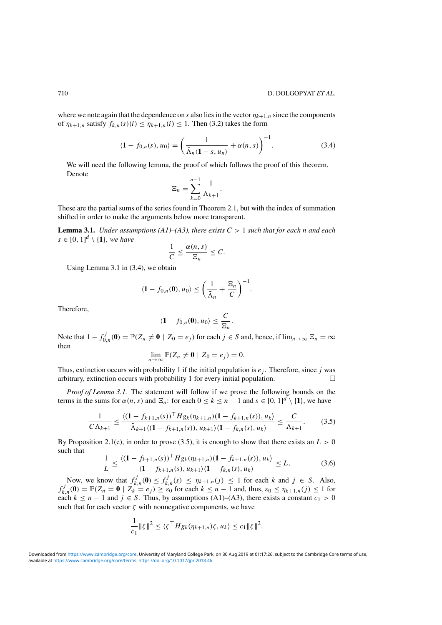<span id="page-9-0"></span>where we note again that the dependence on *s* also lies in the vector  $\eta_{k+1,n}$  since the components of  $\eta_{k+1,n}$  satisfy  $f_{k,n}(s)(i) \leq \eta_{k+1,n}(i) \leq 1$ . Then [\(3.2\)](#page-8-0) takes the form

$$
\langle \mathbf{1} - f_{0,n}(s), u_0 \rangle = \left( \frac{1}{\tilde{\Lambda}_n \langle \mathbf{1} - s, u_n \rangle} + \alpha(n, s) \right)^{-1}.
$$
 (3.4)

We will need the following lemma, the proof of which follows the proof of this theorem. Denote

$$
\Xi_n = \sum_{k=0}^{n-1} \frac{1}{\Lambda_{k+1}}.
$$

These are the partial sums of the series found in Theorem [2.1,](#page-4-0) but with the index of summation shifted in order to make the arguments below more transparent.

**Lemma 3.1.** *Under assumptions (A1)–(A3), there exists*  $C > 1$  *such that for each n and each*  $s \in [0, 1]^d \setminus \{1\}$ , we have

$$
\frac{1}{C} \leq \frac{\alpha(n,s)}{\Xi_n} \leq C.
$$

Using Lemma 3.1 in (3.4), we obtain

$$
\langle \mathbf{1} - f_{0,n}(\mathbf{0}), u_0 \rangle \le \left(\frac{1}{\tilde{\Lambda}_n} + \frac{\Xi_n}{C}\right)^{-1}.
$$

Therefore,

$$
\langle \mathbf{1} - f_{0,n}(\mathbf{0}), u_0 \rangle \leq \frac{C}{\Xi_n}.
$$

Note that  $1 - f_{0,n}^j(\mathbf{0}) = \mathbb{P}(Z_n \neq \mathbf{0} \mid Z_0 = e_j)$  for each  $j \in S$  and, hence, if  $\lim_{n \to \infty} \Xi_n = \infty$ then

$$
\lim_{n\to\infty}\mathbb{P}(Z_n\neq\mathbf{0}\mid Z_0=e_j)=0.
$$

Thus, extinction occurs with probability 1 if the initial population is *ej* . Therefore, since *j* was arbitrary, extinction occurs with probability 1 for every initial population.  $\Box$ 

*Proof of Lemma 3.1.* The statement will follow if we prove the following bounds on the terms in the sums for  $\alpha(n, s)$  and  $\Xi_n$ : for each  $0 \le k \le n - 1$  and  $s \in [0, 1]^d \setminus \{1\}$ , we have

$$
\frac{1}{C\Lambda_{k+1}} \le \frac{\langle (1 - f_{k+1,n}(s))^{\top} H g_k(\eta_{k+1,n})(1 - f_{k+1,n}(s)), u_k \rangle}{\tilde{\Lambda}_{k+1} \langle (1 - f_{k+1,n}(s)), u_{k+1} \rangle \langle 1 - f_{k,n}(s), u_k \rangle} \le \frac{C}{\Lambda_{k+1}}.
$$
(3.5)

By Proposition [2.1\(](#page-3-0)e), in order to prove (3.5), it is enough to show that there exists an  $L > 0$ such that

$$
\frac{1}{L} \le \frac{\langle (1 - f_{k+1,n}(s))^{\top} H g_k(\eta_{k+1,n})(1 - f_{k+1,n}(s)), u_k \rangle}{\langle 1 - f_{k+1,n}(s), u_{k+1} \rangle \langle 1 - f_{k,n}(s), u_k \rangle} \le L.
$$
\n(3.6)

Now, we know that  $f_{k,n}^j(\mathbf{0}) \leq f_{k,n}^j(s) \leq \eta_{k+1,n}(j) \leq 1$  for each *k* and  $j \in S$ . Also,  $f_{k,n}^j(0) = \mathbb{P}(Z_n = 0 \mid Z_k = e_j) \ge \varepsilon_0$  for each  $k \le n - 1$  and, thus,  $\varepsilon_0 \le \eta_{k+1,n}(j) \le 1$  for each  $k \leq n - 1$  and  $j \in S$ . Thus, by assumptions (A1)–(A3), there exists a constant  $c_1 > 0$ such that for each vector  $\zeta$  with nonnegative components, we have

$$
\frac{1}{c_1} \|\zeta\|^2 \le \langle \zeta^\top H g_k(\eta_{k+1,n})\zeta, u_k \rangle \le c_1 \|\zeta\|^2.
$$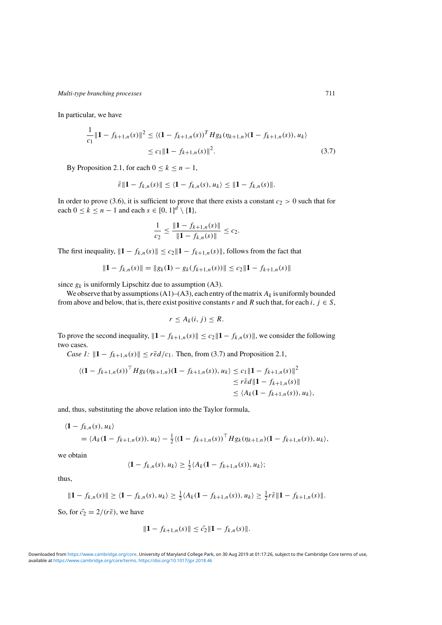In particular, we have

$$
\frac{1}{c_1} \|\mathbf{1} - f_{k+1,n}(s)\|^2 \le \langle (\mathbf{1} - f_{k+1,n}(s))^T H g_k(\eta_{k+1,n}) (\mathbf{1} - f_{k+1,n}(s)), u_k \rangle
$$
  
 
$$
\le c_1 \|\mathbf{1} - f_{k+1,n}(s)\|^2.
$$
 (3.7)

By Proposition [2.1,](#page-3-0) for each  $0 \le k \le n - 1$ ,

$$
\bar{\varepsilon} \| 1 - f_{k,n}(s) \| \le \langle 1 - f_{k,n}(s), u_k \rangle \le \| 1 - f_{k,n}(s) \|.
$$

In order to prove [\(3.6\)](#page-9-0), it is sufficient to prove that there exists a constant  $c_2 > 0$  such that for each  $0 \le k \le n - 1$  and each  $s \in [0, 1]^d \setminus \{1\}$ ,

$$
\frac{1}{c_2} \le \frac{\|\mathbf{1} - f_{k+1,n}(s)\|}{\|\mathbf{1} - f_{k,n}(s)\|} \le c_2.
$$

The first inequality,  $||1 - f_{k,n}(s)|| \le c_2 ||1 - f_{k+1,n}(s)||$ , follows from the fact that

$$
||1 - f_{k,n}(s)|| = ||g_k(1) - g_k(f_{k+1,n}(s))|| \le c_2 ||1 - f_{k+1,n}(s)||
$$

since  $g_k$  is uniformly Lipschitz due to assumption (A3).

We observe that by assumptions  $(A1)$ – $(A3)$ , each entry of the matrix  $A_k$  is uniformly bounded from above and below, that is, there exist positive constants *r* and *R* such that, for each *i*,  $j \in S$ ,

$$
r\leq A_k(i,j)\leq R.
$$

To prove the second inequality,  $||\mathbf{1} - f_{k+1,n}(s)|| \le c_2 ||\mathbf{1} - f_{k,n}(s)||$ , we consider the following two cases.

*Case 1:*  $||1 - f_{k+1,n}(s)|| \leq r \bar{\epsilon} d/c_1$ . Then, from (3.7) and Proposition [2.1,](#page-3-0)

$$
\langle (\mathbf{1} - f_{k+1,n}(s))^{\top} H g_k(\eta_{k+1,n}) (\mathbf{1} - f_{k+1,n}(s)), u_k \rangle \le c_1 \| \mathbf{1} - f_{k+1,n}(s) \|^2
$$
  
\n
$$
\le r \bar{\epsilon} d \| \mathbf{1} - f_{k+1,n}(s) \|
$$
  
\n
$$
\le \langle A_k (\mathbf{1} - f_{k+1,n}(s)), u_k \rangle,
$$

and, thus, substituting the above relation into the Taylor formula,

$$
\langle \mathbf{1} - f_{k,n}(s), u_k \rangle
$$
  
=  $\langle A_k(\mathbf{1} - f_{k+1,n}(s)), u_k \rangle - \frac{1}{2} \langle (\mathbf{1} - f_{k+1,n}(s))^{\top} H g_k(\eta_{k+1,n})(\mathbf{1} - f_{k+1,n}(s)), u_k \rangle$ ,

we obtain

$$
\langle \mathbf{1} - f_{k,n}(s), u_k \rangle \geq \frac{1}{2} \langle A_k(\mathbf{1} - f_{k+1,n}(s)), u_k \rangle;
$$

thus,

$$
\|\mathbf{1} - f_{k,n}(s)\| \ge \langle \mathbf{1} - f_{k,n}(s), u_k \rangle \ge \frac{1}{2} \langle A_k(\mathbf{1} - f_{k+1,n}(s)), u_k \rangle \ge \frac{1}{2} r \bar{\varepsilon} \|\mathbf{1} - f_{k+1,n}(s)\|.
$$

So, for  $\tilde{c}_2 = 2/(r\bar{\varepsilon})$ , we have

$$
||1 - f_{k+1,n}(s)|| \le \tilde{c}_2 ||1 - f_{k,n}(s)||.
$$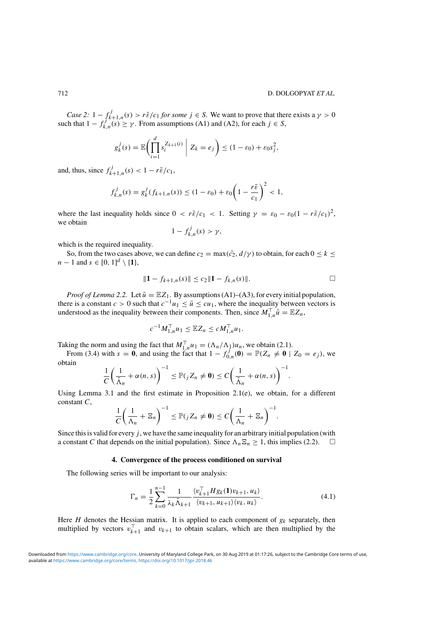<span id="page-11-0"></span>*Case 2:*  $1 - \int_{k+1,n}^{j} (s) > r\bar{\varepsilon}/c_1$  *for some*  $j \in S$ *.* We want to prove that there exists a  $\gamma > 0$ such that  $1 - f_{k,n}^{j}$ <sup>k+1,n'</sup>  $\geq \gamma$ . From assumptions (A1) and (A2), for each  $j \in S$ ,

$$
g_k^j(s) = \mathbb{E}\biggl(\prod_{i=1}^d s_i^{Z_{k+1}(i)}\bigg| Z_k = e_j\biggr) \leq (1 - \varepsilon_0) + \varepsilon_0 s_j^2,
$$

and, thus, since  $f_{k+1,n}^j(s) < 1 - r\bar{\varepsilon}/c_1$ ,

$$
f_{k,n}^j(s) = g_k^j(f_{k+1,n}(s)) \le (1 - \varepsilon_0) + \varepsilon_0 \left(1 - \frac{r\bar{\varepsilon}}{c_1}\right)^2 < 1,
$$

where the last inequality holds since  $0 < r\bar{\varepsilon}/c_1 < 1$ . Setting  $\gamma = \varepsilon_0 - \varepsilon_0(1 - r\bar{\varepsilon}/c_1)^2$ , we obtain

$$
1 - f_{k,n}^j(s) > \gamma,
$$

which is the required inequality.

So, from the two cases above, we can define  $c_2 = \max(\tilde{c}_2, d/\gamma)$  to obtain, for each  $0 \le k \le$ *n* − 1 and *s* ∈ [0, 1]<sup>*d*</sup> \ {**1**},

$$
||1 - f_{k+1,n}(s)|| \le c_2 ||1 - f_{k,n}(s)||.
$$

*Proof of Lemma* [2.2.](#page-5-0) Let  $\bar{u} = \mathbb{E}Z_1$ . By assumptions (A1)–(A3), for every initial population, there is a constant  $c > 0$  such that  $c^{-1}u_1 \leq \bar{u} \leq cu_1$ , where the inequality between vectors is understood as the inequality between their components. Then, since  $M_{1,n}^{\top} \bar{u} = \mathbb{E} Z_n$ ,

$$
c^{-1}M_{1,n}^{\top}u_1 \leq \mathbb{E}Z_n \leq cM_{1,n}^{\top}u_1.
$$

Taking the norm and using the fact that  $M_{1,n}^{\top}u_1 = (\Lambda_n/\Lambda_1)u_n$ , we obtain [\(2.1\)](#page-5-0).

From [\(3.4\)](#page-9-0) with  $s = 0$ , and using the fact that  $1 - f_{0,n}^f(0) = \mathbb{P}(Z_n \neq 0 \mid Z_0 = e_j)$ , we obtain

$$
\frac{1}{C}\left(\frac{1}{\tilde{\Lambda}_n}+\alpha(n,s)\right)^{-1}\leq \mathbb{P}(jZ_n\neq 0)\leq C\left(\frac{1}{\tilde{\Lambda}_n}+\alpha(n,s)\right)^{-1}.
$$

Using Lemma [3.1](#page-9-0) and the first estimate in Proposition [2.1\(](#page-3-0)e), we obtain, for a different constant *C*,

$$
\frac{1}{C}\left(\frac{1}{\Lambda_n}+\Xi_n\right)^{-1}\leq \mathbb{P}(jZ_n\neq \mathbf{0})\leq C\left(\frac{1}{\Lambda_n}+\Xi_n\right)^{-1}.
$$

Since this is valid for every *j* , we have the same inequality for an arbitrary initial population (with a constant *C* that depends on the initial population). Since  $\Lambda_n \Xi_n \geq 1$ , this implies [\(2.2\)](#page-5-0).  $\Box$ 

#### **4. Convergence of the process conditioned on survival**

The following series will be important to our analysis:

$$
\Gamma_n = \frac{1}{2} \sum_{k=0}^{n-1} \frac{1}{\lambda_k \tilde{\Lambda}_{k+1}} \frac{\langle v_{k+1}^\top H g_k(\mathbf{1}) v_{k+1}, u_k \rangle}{\langle v_{k+1}, u_{k+1} \rangle \langle v_k, u_k \rangle}.
$$
(4.1)

Here *H* denotes the Hessian matrix. It is applied to each component of  $g_k$  separately, then multiplied by vectors  $v_{k+1}^{\perp}$  and  $v_{k+1}$  to obtain scalars, which are then multiplied by the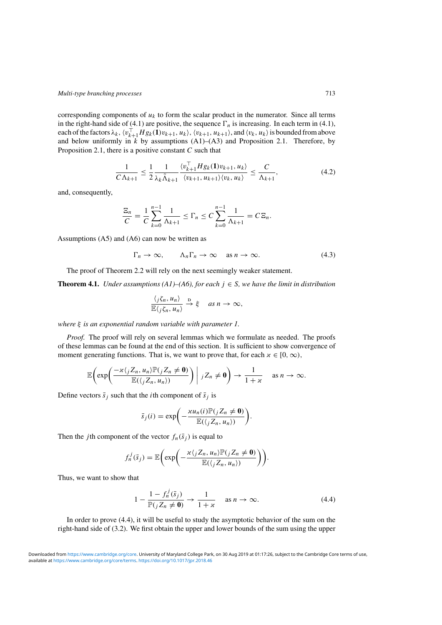<span id="page-12-0"></span>corresponding components of  $u_k$  to form the scalar product in the numerator. Since all terms in the right-hand side of [\(4.1\)](#page-11-0) are positive, the sequence  $\Gamma_n$  is increasing. In each term in (4.1), each of the factors  $\lambda_k$ ,  $\langle v_{k+1}^{\top} H g_k(\mathbf{1}) v_{k+1}, u_k \rangle$ ,  $\langle v_{k+1}, u_{k+1} \rangle$ , and  $\langle v_k, u_k \rangle$  is bounded from above and below uniformly in  $\overline{k}$  by assumptions (A1)–(A3) and Proposition [2.1.](#page-3-0) Therefore, by Proposition [2.1,](#page-3-0) there is a positive constant *C* such that

$$
\frac{1}{C\Lambda_{k+1}} \le \frac{1}{2} \frac{1}{\lambda_k \tilde{\Lambda}_{k+1}} \frac{\langle v_{k+1}^{\top} H g_k(\mathbf{1}) v_{k+1}, u_k \rangle}{\langle v_{k+1}, u_{k+1} \rangle \langle v_k, u_k \rangle} \le \frac{C}{\Lambda_{k+1}},
$$
(4.2)

and, consequently,

$$
\frac{\Xi_n}{C} = \frac{1}{C} \sum_{k=0}^{n-1} \frac{1}{\Lambda_{k+1}} \le \Gamma_n \le C \sum_{k=0}^{n-1} \frac{1}{\Lambda_{k+1}} = C \Xi_n.
$$

Assumptions (A5) and (A6) can now be written as

$$
\Gamma_n \to \infty, \qquad \Lambda_n \Gamma_n \to \infty \quad \text{as } n \to \infty. \tag{4.3}
$$

The proof of Theorem [2.2](#page-5-0) will rely on the next seemingly weaker statement.

**Theorem 4.1.** *Under assumptions (A1)–(A6), for each*  $j \in S$ *, we have the limit in distribution* 

$$
\frac{\langle j\zeta_n, u_n \rangle}{\mathbb{E}\langle j\zeta_n, u_n \rangle} \xrightarrow{D} \xi \quad \text{as } n \to \infty,
$$

*where ξ is an exponential random variable with parameter 1.*

*Proof.* The proof will rely on several lemmas which we formulate as needed. The proofs of these lemmas can be found at the end of this section. It is sufficient to show convergence of moment generating functions. That is, we want to prove that, for each  $x \in [0, \infty)$ ,

$$
\mathbb{E}\bigg(\exp\bigg(\frac{-\varkappa\langle j Z_n, u_n \rangle \mathbb{P}(j Z_n \neq \mathbf{0})}{\mathbb{E}(\langle j Z_n, u_n \rangle)}\bigg) \bigg| j Z_n \neq \mathbf{0}\bigg) \to \frac{1}{1+\varkappa} \quad \text{as } n \to \infty.
$$

Define vectors  $\bar{s}_j$  such that the *i*th component of  $\bar{s}_j$  is

$$
\bar{s}_j(i) = \exp\biggl(-\frac{\varkappa u_n(i)\mathbb{P}(jZ_n \neq \mathbf{0})}{\mathbb{E}(\langle jZ_n, u_n \rangle)}\biggr).
$$

Then the *j*th component of the vector  $f_n(\bar{s}_i)$  is equal to

$$
f_n^j(\bar{s}_j)=\mathbb{E}\bigg(\exp\bigg(-\frac{\varkappa\langle jZ_n,u_n\rangle\mathbb{P}(jZ_n\neq 0)}{\mathbb{E}(\langle jZ_n,u_n\rangle)}\bigg)\bigg).
$$

Thus, we want to show that

$$
1 - \frac{1 - f_n^j(\bar{s}_j)}{\mathbb{P}(j Z_n \neq \mathbf{0})} \to \frac{1}{1 + \varkappa} \quad \text{as } n \to \infty.
$$
 (4.4)

In order to prove (4.4), it will be useful to study the asymptotic behavior of the sum on the right-hand side of [\(3.2\)](#page-8-0). We first obtain the upper and lower bounds of the sum using the upper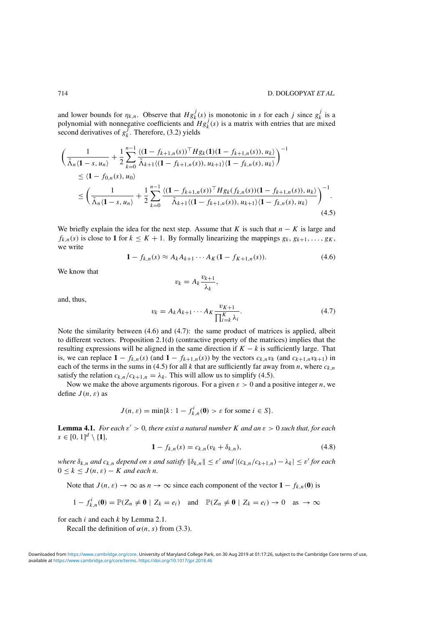<span id="page-13-0"></span>and lower bounds for  $\eta_{k,n}$ . Observe that  $Hg_k^j(s)$  is monotonic in *s* for each *j* since  $g_k^j$  is a polynomial with nonnegative coefficients and  $Hg_k^j(s)$  is a matrix with entries that are mixed second derivatives of  $g_k^{\mathcal{J}}$ . Therefore, [\(3.2\)](#page-8-0) yields

$$
\begin{split}\n&\left(\frac{1}{\tilde{\Lambda}_{n}\langle\mathbf{1}-s,u_{n}\rangle}+\frac{1}{2}\sum_{k=0}^{n-1}\frac{\langle(\mathbf{1}-f_{k+1,n}(s))\cdot Hg_{k}(\mathbf{1})(\mathbf{1}-f_{k+1,n}(s)),u_{k}\rangle}{\tilde{\Lambda}_{k+1}\langle(\mathbf{1}-f_{k+1,n}(s)),u_{k+1}\rangle\langle\mathbf{1}-f_{k,n}(s),u_{k}\rangle}\right)^{-1} \\
&\leq \langle\mathbf{1}-f_{0,n}(s),u_{0}\rangle \\
&\leq \left(\frac{1}{\tilde{\Lambda}_{n}\langle\mathbf{1}-s,u_{n}\rangle}+\frac{1}{2}\sum_{k=0}^{n-1}\frac{\langle(\mathbf{1}-f_{k+1,n}(s))\cdot Hg_{k}(f_{k,n}(s))(1-f_{k+1,n}(s)),u_{k}\rangle}{\tilde{\Lambda}_{k+1}\langle(\mathbf{1}-f_{k+1,n}(s)),u_{k+1}\rangle\langle\mathbf{1}-f_{k,n}(s),u_{k}\rangle}\right)^{-1}.\n\end{split} \tag{4.5}
$$

We briefly explain the idea for the next step. Assume that *K* is such that  $n - K$  is large and  $f_{k,n}(s)$  is close to 1 for  $k \leq K + 1$ . By formally linearizing the mappings  $g_k, g_{k+1}, \ldots, g_K$ , we write

$$
1 - f_{k,n}(s) \approx A_k A_{k+1} \cdots A_K (1 - f_{K+1,n}(s)). \tag{4.6}
$$

We know that

$$
v_k = A_k \frac{v_{k+1}}{\lambda_k},
$$

and, thus,

$$
v_k = A_k A_{k+1} \cdots A_K \frac{v_{K+1}}{\prod_{i=k}^K \lambda_i}.
$$
\n
$$
(4.7)
$$

Note the similarity between (4.6) and (4.7): the same product of matrices is applied, albeit to different vectors. Proposition [2.1\(](#page-3-0)d) (contractive property of the matrices) implies that the resulting expressions will be aligned in the same direction if  $K - k$  is sufficiently large. That is, we can replace  $1 - f_{k,n}(s)$  (and  $1 - f_{k+1,n}(s)$ ) by the vectors  $c_{k,n}v_k$  (and  $c_{k+1,n}v_{k+1}$ ) in each of the terms in the sums in (4.5) for all  $k$  that are sufficiently far away from  $n$ , where  $c_{k,n}$ satisfy the relation  $c_{k,n}/c_{k+1,n} = \lambda_k$ . This will allow us to simplify (4.5).

Now we make the above arguments rigorous. For a given *ε >* 0 and a positive integer *n*, we define *J (n, ε)* as

$$
J(n, \varepsilon) = \min\{k \colon 1 - f_{k,n}^i(\mathbf{0}) > \varepsilon \text{ for some } i \in S\}.
$$

**Lemma 4.1.** *For each*  $\varepsilon' > 0$ *, there exist a natural number K and an*  $\varepsilon > 0$  *such that, for each*  $s \in [0, 1]^d \setminus \{1\},\$ 

$$
1 - f_{k,n}(s) = c_{k,n}(v_k + \delta_{k,n}),
$$
\n(4.8)

 $\int e^{kt} \delta_{k,n}$  *and*  $c_{k,n}$  *depend on s and* satisfy  $\|\delta_{k,n}\| \leq \varepsilon'$  *and*  $|(c_{k,n}/c_{k+1,n}) - \lambda_k| \leq \varepsilon'$  for each  $0 \leq k \leq J(n, \varepsilon) - K$  *and each n.* 

Note that  $J(n, \varepsilon) \to \infty$  as  $n \to \infty$  since each component of the vector  $1 - f_{k,n}(0)$  is

$$
1 - f_{k,n}^i(\mathbf{0}) = \mathbb{P}(Z_n \neq \mathbf{0} \mid Z_k = e_i) \quad \text{and} \quad \mathbb{P}(Z_n \neq \mathbf{0} \mid Z_k = e_i) \to 0 \quad \text{as} \to \infty
$$

for each *i* and each *k* by Lemma [2.1.](#page-4-0)

Recall the definition of  $\alpha(n, s)$  from [\(3.3\)](#page-8-0).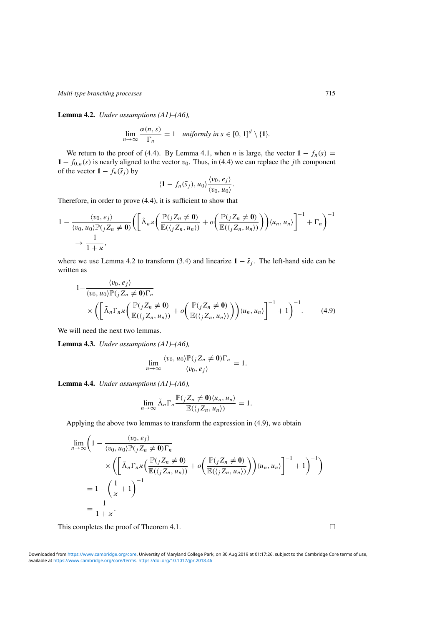<span id="page-14-0"></span>**Lemma 4.2.** *Under assumptions (A1)–(A6),*

$$
\lim_{n\to\infty}\frac{\alpha(n,s)}{\Gamma_n}=1 \quad \textit{uniformly in } s \in [0,1]^d \setminus \{1\}.
$$

We return to the proof of [\(4.4\)](#page-12-0). By Lemma [4.1,](#page-13-0) when *n* is large, the vector  $1 - f_n(s) =$  $1 - f_{0,n}(s)$  is nearly aligned to the vector  $v_0$ . Thus, in [\(4.4\)](#page-12-0) we can replace the *j* th component of the vector  $\mathbf{1} - f_n(\bar{s}_i)$  by

$$
\langle 1-f_n(\bar{s}_j),u_0\rangle \frac{\langle v_0,e_j\rangle}{\langle v_0,u_0\rangle}.
$$

Therefore, in order to prove [\(4.4\)](#page-12-0), it is sufficient to show that

$$
1 - \frac{\langle v_0, e_j \rangle}{\langle v_0, u_0 \rangle \mathbb{P}(j Z_n \neq \mathbf{0})} \Biggl( \Biggl[ \tilde{\Lambda}_n x \Biggl( \frac{\mathbb{P}(j Z_n \neq \mathbf{0})}{\mathbb{E}(\langle j Z_n, u_n \rangle)} + o \Biggl( \frac{\mathbb{P}(j Z_n \neq \mathbf{0})}{\mathbb{E}(\langle j Z_n, u_n \rangle)} \Biggr) \Biggr) \langle u_n, u_n \rangle \Biggr]^{-1} + \Gamma_n \Biggr)^{-1} + \frac{1}{1 + x},
$$

where we use Lemma [4.2](#page-13-0) to transform [\(3.4\)](#page-9-0) and linearize  $1 - \bar{s}_i$ . The left-hand side can be written as

$$
1 - \frac{\langle v_0, e_j \rangle}{\langle v_0, u_0 \rangle \mathbb{P}(j Z_n \neq \mathbf{0}) \Gamma_n} \times \left( \left[ \tilde{\Lambda}_n \Gamma_n x \left( \frac{\mathbb{P}(j Z_n \neq \mathbf{0})}{\mathbb{E}(\langle j Z_n, u_n \rangle)} + o \left( \frac{\mathbb{P}(j Z_n \neq \mathbf{0})}{\mathbb{E}(\langle j Z_n, u_n \rangle)} \right) \right) \langle u_n, u_n \rangle \right]^{-1} + 1 \right)^{-1}.
$$
 (4.9)

We will need the next two lemmas.

**Lemma 4.3.** *Under assumptions (A1)–(A6),*

$$
\lim_{n\to\infty}\frac{\langle v_0, u_0\rangle\mathbb{P}(jZ_n\neq 0)\Gamma_n}{\langle v_0, e_j\rangle}=1.
$$

**Lemma 4.4.** *Under assumptions (A1)–(A6),*

$$
\lim_{n\to\infty}\tilde{\Lambda}_n\Gamma_n\frac{\mathbb{P}(jZ_n\neq \mathbf{0})\langle u_n, u_n\rangle}{\mathbb{E}(\langle jZ_n, u_n\rangle)}=1.
$$

Applying the above two lemmas to transform the expression in (4.9), we obtain

$$
\lim_{n \to \infty} \left( 1 - \frac{\langle v_0, e_j \rangle}{\langle v_0, u_0 \rangle \mathbb{P}(jZ_n \neq \mathbf{0}) \Gamma_n} \times \left( \left[ \tilde{\Delta}_n \Gamma_n \mathcal{L} \left( \frac{\mathbb{P}(jZ_n \neq \mathbf{0})}{\mathbb{E}(\langle jZ_n, u_n \rangle)} \right) + o \left( \frac{\mathbb{P}(jZ_n \neq \mathbf{0})}{\mathbb{E}(\langle jZ_n, u_n \rangle)} \right) \right) \langle u_n, u_n \rangle \right]^{-1} + 1 \right)^{-1}
$$
\n
$$
= 1 - \left( \frac{1}{\kappa} + 1 \right)^{-1}
$$
\n
$$
= \frac{1}{1 + \kappa}.
$$

This completes the proof of Theorem [4.1.](#page-12-0)  $\Box$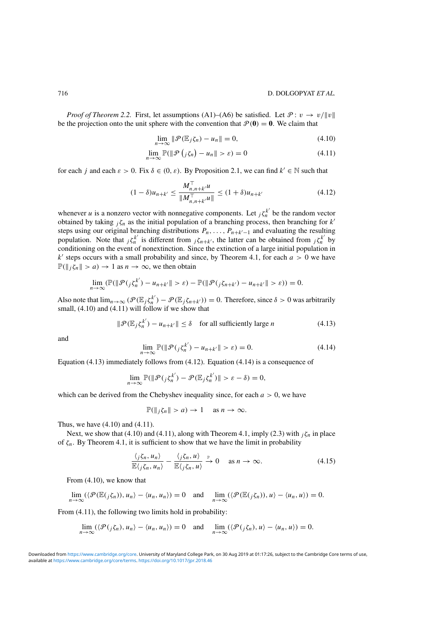<span id="page-15-0"></span>*Proof of Theorem* [2.2.](#page-5-0) First, let assumptions (A1)–(A6) be satisfied. Let  $\mathcal{P}: v \to v/||v||$ be the projection onto the unit sphere with the convention that  $\mathcal{P}(\mathbf{0}) = \mathbf{0}$ . We claim that

$$
\lim_{n \to \infty} \|\mathcal{P}(\mathbb{E}_j \zeta_n) - u_n\| = 0,
$$
\n(4.10)

$$
\lim_{n \to \infty} \mathbb{P}(\|\mathcal{P}\left(j\zeta_n\right) - u_n\| > \varepsilon) = 0 \tag{4.11}
$$

for each *j* and each  $\varepsilon > 0$ . Fix  $\delta \in (0, \varepsilon)$ . By Proposition [2.1,](#page-3-0) we can find  $k' \in \mathbb{N}$  such that

$$
(1 - \delta)u_{n+k'} \le \frac{M_{n,n+k'}^\top u}{\|M_{n,n+k'}^\top u\|} \le (1 + \delta)u_{n+k'} \tag{4.12}
$$

whenever *u* is a nonzero vector with nonnegative components. Let  ${}_{j}\zeta_{n}^{k'}$  be the random vector obtained by taking  $_j \zeta_n$  as the initial population of a branching process, then branching for  $k'$ steps using our original branching distributions  $P_n, \ldots, P_{n+k'-1}$  and evaluating the resulting population. Note that  ${}_{j}\zeta_{n}^{k'}$  is different from  ${}_{j}\zeta_{n+k'}$ , the latter can be obtained from  ${}_{j}\zeta_{n}^{k'}$  by conditioning on the event of nonextinction. Since the extinction of a large initial population in  $k'$  steps occurs with a small probability and since, by Theorem [4.1,](#page-12-0) for each  $a > 0$  we have  $\mathbb{P}(\|\mathbf{z}\| > a) \to 1$  as  $n \to \infty$ , we then obtain

$$
\lim_{n\to\infty}(\mathbb{P}(\|\mathcal{P}(j\zeta_n^{k'})-u_{n+k'}\|>\varepsilon)-\mathbb{P}(\|\mathcal{P}(j\zeta_{n+k'})-u_{n+k'}\|>\varepsilon))=0.
$$

Also note that  $\lim_{n\to\infty}$   $(\mathcal{P}(\mathbb{E}_j \zeta_n^{k'}) - \mathcal{P}(\mathbb{E}_j \zeta_{n+k'})) = 0$ . Therefore, since  $\delta > 0$  was arbitrarily small, (4.10) and (4.11) will follow if we show that

$$
\|\mathcal{P}(\mathbb{E}_j \zeta_n^{k'}) - u_{n+k'}\| \le \delta \quad \text{for all sufficiently large } n \tag{4.13}
$$

and

$$
\lim_{n \to \infty} \mathbb{P}(\|\mathcal{P}(j\xi_n^{k'}) - u_{n+k'}\| > \varepsilon) = 0.
$$
\n(4.14)

Equation (4.13) immediately follows from (4.12). Equation (4.14) is a consequence of

$$
\lim_{n\to\infty}\mathbb{P}(\|\mathcal{P}(j\zeta_n^{k'})-\mathcal{P}(\mathbb{E}_j\zeta_n^{k'})\|>\varepsilon-\delta)=0,
$$

which can be derived from the Chebyshev inequality since, for each  $a > 0$ , we have

$$
\mathbb{P}(\|j\zeta_n\| > a) \to 1 \quad \text{as } n \to \infty.
$$

Thus, we have (4.10) and (4.11).

Next, we show that (4.10) and (4.11), along with Theorem [4.1,](#page-12-0) imply [\(2.3\)](#page-5-0) with  $_j \zeta_n$  in place of  $\zeta_n$ . By Theorem [4.1,](#page-12-0) it is sufficient to show that we have the limit in probability

$$
\frac{\langle j\xi_n, u_n \rangle}{\mathbb{E}\langle j\xi_n, u_n \rangle} - \frac{\langle j\xi_n, u \rangle}{\mathbb{E}\langle j\xi_n, u \rangle} \xrightarrow{\mathbb{P}} 0 \quad \text{as } n \to \infty.
$$
 (4.15)

From (4.10), we know that

$$
\lim_{n\to\infty} (\langle \mathcal{P}(\mathbb{E}(j\zeta_n)), u_n \rangle - \langle u_n, u_n \rangle) = 0 \text{ and } \lim_{n\to\infty} (\langle \mathcal{P}(\mathbb{E}(j\zeta_n)), u \rangle - \langle u_n, u \rangle) = 0.
$$

From  $(4.11)$ , the following two limits hold in probability:

$$
\lim_{n\to\infty} (\langle \mathcal{P}(\jmath \zeta_n), u_n \rangle - \langle u_n, u_n \rangle) = 0 \text{ and } \lim_{n\to\infty} (\langle \mathcal{P}(\jmath \zeta_n), u \rangle - \langle u_n, u \rangle) = 0.
$$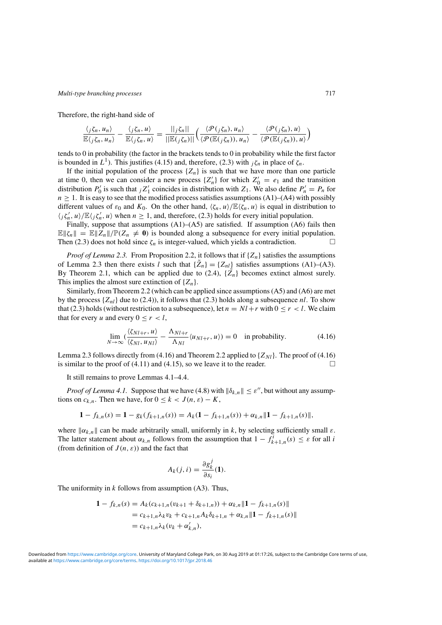Therefore, the right-hand side of

$$
\frac{\langle j\zeta_n, u_n\rangle}{\mathbb{E}\langle j\zeta_n, u_n\rangle} - \frac{\langle j\zeta_n, u\rangle}{\mathbb{E}\langle j\zeta_n, u\rangle} = \frac{\|j\zeta_n\|}{\|\mathbb{E}(j\zeta_n)\|} \Big(\frac{\langle \mathcal{P}(j\zeta_n), u_n\rangle}{\langle \mathcal{P}(\mathbb{E}(j\zeta_n)), u_n\rangle} - \frac{\langle \mathcal{P}(j\zeta_n), u\rangle}{\langle \mathcal{P}(\mathbb{E}(j\zeta_n)), u\rangle}\Big)
$$

tends to 0 in probability (the factor in the brackets tends to 0 in probability while the first factor is bounded in  $L^1$ ). This justifies [\(4.15\)](#page-15-0) and, therefore, ([2.3](#page-5-0)) with  $\chi^2$ <sub>i</sub> in place of  $\zeta_n$ .

If the initial population of the process  $\{Z_n\}$  is such that we have more than one particle at time 0, then we can consider a new process  $\{Z'_n\}$  for which  $Z'_0 = e_1$  and the transition distribution  $P'_0$  is such that  $jZ'_1$  coincides in distribution with  $Z_1$ . We also define  $P'_n = P_n$  for  $n \geq 1$ . It is easy to see that the modified process satisfies assumptions (A1)–(A4) with possibly different values of  $\varepsilon_0$  and  $K_0$ . On the other hand,  $\langle \zeta_n, u \rangle / \mathbb{E} \langle \zeta_n, u \rangle$  is equal in distribution to  $\langle j\zeta'_n, u \rangle / \mathbb{E}\langle j\zeta'_n, u \rangle$  when  $n \geq 1$ , and, therefore, [\(2.3\)](#page-5-0) holds for every initial population.

Finally, suppose that assumptions  $(A1)$ – $(A5)$  are satisfied. If assumption  $(A6)$  fails then  $\mathbb{E} \|\zeta_n\| = \mathbb{E} \|Z_n\|/\mathbb{P}(Z_n \neq 0)$  is bounded along a subsequence for every initial population. Then [\(2.3\)](#page-5-0) does not hold since  $\zeta_n$  is integer-valued, which yields a contradiction.  $\Box$ 

*Proof of Lemma* [2.3.](#page-6-0) From Proposition [2.2,](#page-6-0) it follows that if  $\{Z_n\}$  satisfies the assumptions of Lemma [2.3](#page-6-0) then there exists *l* such that  ${\bar{Z}_n} = {Z_{nl}}$  satisfies assumptions (A1)–(A3). By Theorem [2.1,](#page-4-0) which can be applied due to [\(2.4\)](#page-5-0),  $\{\tilde{Z}_n\}$  becomes extinct almost surely. This implies the almost sure extinction of  $\{Z_n\}$ .

Similarly, from Theorem [2.2](#page-5-0) (which can be applied since assumptions (A5) and (A6) are met by the process  $\{Z_{nl}\}$  due to [\(2.4\)](#page-5-0)), it follows that [\(2.3\)](#page-5-0) holds along a subsequence *nl*. To show that [\(2.3\)](#page-5-0) holds (without restriction to a subsequence), let  $n = Nl + r$  with  $0 \le r < l$ . We claim that for every *u* and every  $0 \le r < l$ ,

$$
\lim_{N \to \infty} \left( \frac{\langle \zeta_{Nl+r}, u \rangle}{\langle \zeta_{Nl}, u_{Nl} \rangle} - \frac{\Lambda_{Nl+r}}{\Lambda_{Nl}} \langle u_{Nl+r}, u \rangle \right) = 0 \quad \text{in probability.}
$$
 (4.16)

Lemma [2.3](#page-6-0) follows directly from (4.16) and Theorem [2.2](#page-5-0) applied to  $\{Z_{Nl}\}$ . The proof of (4.16) is similar to the proof of [\(4.11\)](#page-15-0) and [\(4.15\)](#page-15-0), so we leave it to the reader.  $\Box$ 

It still remains to prove Lemmas [4.1](#page-13-0)[–4.4.](#page-14-0)

*Proof of Lemma* [4.1.](#page-13-0) Suppose that we have [\(4.8\)](#page-13-0) with  $\|\delta_{k,n}\| \leq \varepsilon''$ , but without any assumptions on  $c_{k,n}$ . Then we have, for  $0 \le k < J(n, \varepsilon) - K$ ,

$$
1 - f_{k,n}(s) = 1 - g_k(f_{k+1,n}(s)) = A_k(1 - f_{k+1,n}(s)) + \alpha_{k,n} \| 1 - f_{k+1,n}(s) \|,
$$

where  $\|\alpha_{k,n}\|$  can be made arbitrarily small, uniformly in *k*, by selecting sufficiently small  $\varepsilon$ . The latter statement about  $\alpha_{k,n}$  follows from the assumption that  $1 - f_{k+1,n}^i(s) \leq \varepsilon$  for all *i* (from definition of  $J(n, \varepsilon)$ ) and the fact that

$$
A_k(j, i) = \frac{\partial g_k^j}{\partial s_i}(\mathbf{1}).
$$

The uniformity in *k* follows from assumption (A3). Thus,

$$
\begin{aligned} \mathbf{1} - f_{k,n}(s) &= A_k(c_{k+1,n}(v_{k+1} + \delta_{k+1,n})) + \alpha_{k,n} \|\mathbf{1} - f_{k+1,n}(s)\| \\ &= c_{k+1,n} \lambda_k v_k + c_{k+1,n} A_k \delta_{k+1,n} + \alpha_{k,n} \|\mathbf{1} - f_{k+1,n}(s)\| \\ &= c_{k+1,n} \lambda_k (v_k + \alpha'_{k,n}), \end{aligned}
$$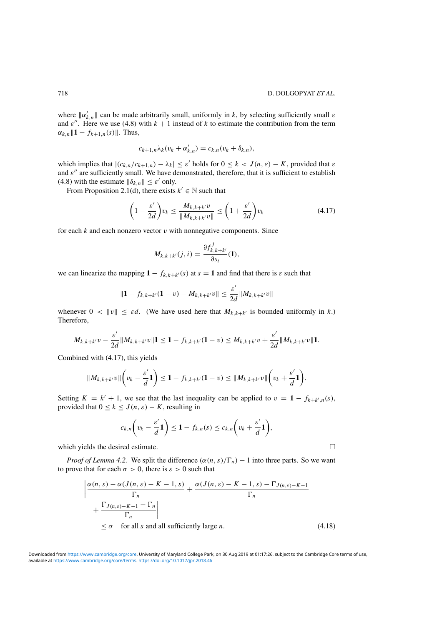<span id="page-17-0"></span>where  $\|\alpha'_{k,n}\|$  can be made arbitrarily small, uniformly in *k*, by selecting sufficiently small  $\varepsilon$ and  $\varepsilon''$ . Here we use [\(4.8\)](#page-13-0) with  $k + 1$  instead of k to estimate the contribution from the term  $\alpha_{k,n} \| 1 - f_{k+1,n}(s) \|$ . Thus,

$$
c_{k+1,n}\lambda_k(v_k+\alpha'_{k,n})=c_{k,n}(v_k+\delta_{k,n}),
$$

which implies that  $|(c_{k,n}/c_{k+1,n}) - \lambda_k| \leq \varepsilon'$  holds for  $0 \leq k < J(n, \varepsilon) - K$ , provided that  $\varepsilon$ and  $\varepsilon$ <sup>"</sup> are sufficiently small. We have demonstrated, therefore, that it is sufficient to establish [\(4.8\)](#page-13-0) with the estimate  $\|\delta_{k,n}\| \leq \varepsilon'$  only.

From Proposition [2.1\(](#page-3-0)d), there exists  $k' \in \mathbb{N}$  such that

$$
\left(1 - \frac{\varepsilon'}{2d}\right) v_k \le \frac{M_{k,k+k'}v}{\|M_{k,k+k'}v\|} \le \left(1 + \frac{\varepsilon'}{2d}\right) v_k
$$
\n(4.17)

for each  $k$  and each nonzero vector  $v$  with nonnegative components. Since

$$
M_{k,k+k'}(j,i) = \frac{\partial f_{k,k+k'}^j}{\partial s_i}(\mathbf{1}),
$$

we can linearize the mapping  $1 - f_{k,k+k'}(s)$  at  $s = 1$  and find that there is  $\varepsilon$  such that

$$
\|1 - f_{k,k+k'}(1 - v) - M_{k,k+k'}v\| \leq \frac{\varepsilon'}{2d} \|M_{k,k+k'}v\|
$$

whenever  $0 < ||v|| \le \varepsilon d$ . (We have used here that  $M_{k,k+k'}$  is bounded uniformly in k.) Therefore,

$$
M_{k,k+k'}v-\frac{\varepsilon'}{2d}\|M_{k,k+k'}v\|{\bf 1}\leq{\bf 1}-f_{k,k+k'}({\bf 1}-v)\leq M_{k,k+k'}v+\frac{\varepsilon'}{2d}\|M_{k,k+k'}v\|{\bf 1}.
$$

Combined with (4.17), this yields

$$
\|M_{k,k+k'}v\|\left(v_k-\frac{\varepsilon'}{d}\mathbf{1}\right)\leq 1-f_{k,k+k'}(\mathbf{1}-v)\leq\|M_{k,k+k'}v\|\left(v_k+\frac{\varepsilon'}{d}\mathbf{1}\right).
$$

Setting  $K = k' + 1$ , we see that the last inequality can be applied to  $v = 1 - f_{k+k',n}(s)$ , provided that  $0 \le k \le J(n, \varepsilon) - K$ , resulting in

$$
c_{k,n}\left(v_k-\frac{\varepsilon'}{d}\mathbf{1}\right)\leq 1-f_{k,n}(s)\leq c_{k,n}\left(v_k+\frac{\varepsilon'}{d}\mathbf{1}\right),
$$

which yields the desired estimate.  $\Box$ 

*Proof of Lemma* [4.2.](#page-13-0) We split the difference  $(\alpha(n, s)/\Gamma_n) - 1$  into three parts. So we want to prove that for each  $\sigma > 0$ , there is  $\varepsilon > 0$  such that

$$
\left| \frac{\alpha(n,s) - \alpha(J(n,\varepsilon) - K - 1, s)}{\Gamma_n} + \frac{\alpha(J(n,\varepsilon) - K - 1, s) - \Gamma_{J(n,\varepsilon) - K - 1}}{\Gamma_n} \right|
$$
  
 
$$
\leq \sigma \quad \text{for all } s \text{ and all sufficiently large } n. \tag{4.18}
$$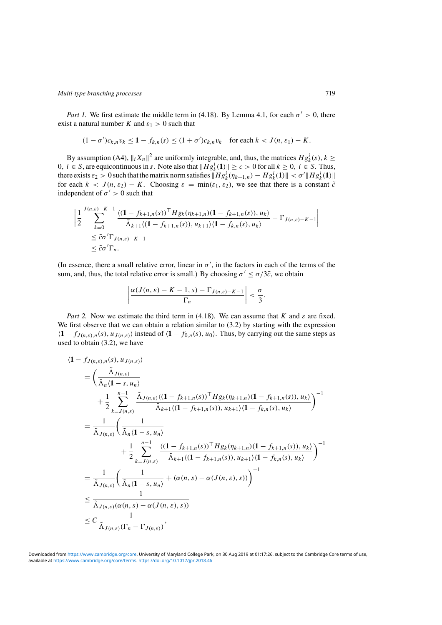*Part 1.* We first estimate the middle term in [\(4.18\)](#page-17-0). By Lemma [4.1,](#page-13-0) for each  $\sigma' > 0$ , there exist a natural number *K* and  $\varepsilon_1 > 0$  such that

$$
(1 - \sigma')c_{k,n}v_k \le 1 - f_{k,n}(s) \le (1 + \sigma')c_{k,n}v_k \quad \text{for each } k < J(n, \varepsilon_1) - K.
$$

By assumption (A4),  $||_i X_n||^2$  are uniformly integrable, and, thus, the matrices  $Hg_k^i(s)$ ,  $k \geq$ 0*, i* ∈ *S*, are equicontinuous in *s*. Note also that  $||Hg_k^i(1)|| \ge c > 0$  for all  $k ≥ 0$ ,  $i ∈ S$ . Thus, there exists  $\varepsilon_2 > 0$  such that the matrix norm satisfies  $\|Hg_k^i(\eta_{k+1,n}) - Hg_k^i(1)\| < \sigma' \|Hg_k^i(1)\|$ for each  $k < J(n, \varepsilon_2) - K$ . Choosing  $\varepsilon = \min(\varepsilon_1, \varepsilon_2)$ , we see that there is a constant  $\tilde{c}$ independent of  $\sigma' > 0$  such that

$$
\left| \frac{1}{2} \sum_{k=0}^{J(n,\varepsilon)-K-1} \frac{\langle (1 - f_{k+1,n}(s))^{\top} H g_k(\eta_{k+1,n})(1 - f_{k+1,n}(s)), u_k \rangle}{\tilde{\Lambda}_{k+1} \langle (1 - f_{k+1,n}(s)), u_{k+1} \rangle \langle 1 - f_{k,n}(s), u_k \rangle} - \Gamma_{J(n,\varepsilon)-K-1} \right|
$$
  
\n
$$
\leq \tilde{c} \sigma' \Gamma_{J(n,\varepsilon)-K-1}
$$
  
\n
$$
\leq \tilde{c} \sigma' \Gamma_n.
$$

(In essence, there a small relative error, linear in  $\sigma'$ , in the factors in each of the terms of the sum, and, thus, the total relative error is small.) By choosing  $\sigma' \leq \sigma/3\tilde{c}$ , we obtain

$$
\left|\frac{\alpha(J(n,\varepsilon)-K-1,s)-\Gamma_{J(n,\varepsilon)-K-1}}{\Gamma_n}\right|<\frac{\sigma}{3}.
$$

*Part 2.* Now we estimate the third term in [\(4.18\)](#page-17-0). We can assume that *K* and  $\varepsilon$  are fixed. We first observe that we can obtain a relation similar to  $(3.2)$  by starting with the expression  $\langle 1 - f_{J(n,\varepsilon),n}(s), u_{J(n,\varepsilon)} \rangle$  instead of  $\langle 1 - f_{0,n}(s), u_0 \rangle$ . Thus, by carrying out the same steps as used to obtain [\(3.2\)](#page-8-0), we have

$$
\langle 1 - f_{J(n,\varepsilon),n}(s), u_{J(n,\varepsilon)} \rangle
$$
\n
$$
= \left( \frac{\tilde{\Lambda}_{J(n,\varepsilon)}}{\tilde{\Lambda}_{n}(1-s, u_{n})} + \frac{1}{2} \sum_{k=J(n,\varepsilon)}^{n-1} \frac{\tilde{\Lambda}_{J(n,\varepsilon)}((1-f_{k+1,n}(s))^{\top} H g_{k}(\eta_{k+1,n})(1-f_{k+1,n}(s)), u_{k})}{\tilde{\Lambda}_{k+1}((1-f_{k+1,n}(s)), u_{k+1})\langle 1-f_{k,n}(s), u_{k} \rangle} \right)^{-1}
$$
\n
$$
= \frac{1}{\tilde{\Lambda}_{J(n,\varepsilon)}} \left( \frac{1}{\tilde{\Lambda}_{n}(1-s, u_{n})} + \frac{1}{2} \sum_{k=J(n,\varepsilon)}^{n-1} \frac{\langle (1-f_{k+1,n}(s))^{\top} H g_{k}(\eta_{k+1,n})(1-f_{k+1,n}(s)), u_{k} \rangle}{\tilde{\Lambda}_{k+1}\langle (1-f_{k+1,n}(s)), u_{k+1} \rangle \langle 1-f_{k,n}(s), u_{k} \rangle} \right)^{-1}
$$
\n
$$
= \frac{1}{\tilde{\Lambda}_{J(n,\varepsilon)}} \left( \frac{1}{\tilde{\Lambda}_{n}(1-s, u_{n})} + (\alpha(n, s) - \alpha(J(n, \varepsilon), s)) \right)^{-1}
$$
\n
$$
\leq \frac{1}{\tilde{\Lambda}_{J(n,\varepsilon)}(\alpha(n, s) - \alpha(J(n, \varepsilon), s))}
$$
\n
$$
\leq C \frac{1}{\tilde{\Lambda}_{J(n,\varepsilon)}(\Gamma_{n} - \Gamma_{J(n,\varepsilon)})},
$$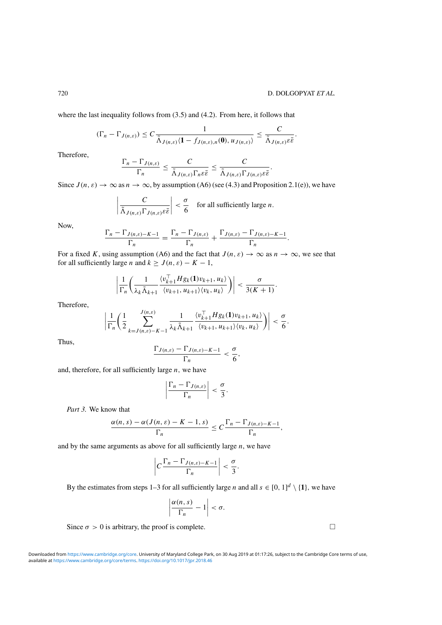where the last inequality follows from [\(3.5\)](#page-9-0) and [\(4.2\)](#page-12-0). From here, it follows that

$$
(\Gamma_n - \Gamma_{J(n,\varepsilon)}) \leq C \frac{1}{\tilde{\Lambda}_{J(n,\varepsilon)} \langle 1 - f_{J(n,\varepsilon),n}(0), u_{J(n,\varepsilon)} \rangle} \leq \frac{C}{\tilde{\Lambda}_{J(n,\varepsilon)} \varepsilon^{\frac{1}{\varepsilon}}}.
$$

Therefore,

$$
\frac{\Gamma_n - \Gamma_{J(n,\varepsilon)}}{\Gamma_n} \leq \frac{C}{\tilde{\Lambda}_{J(n,\varepsilon)}\Gamma_n\varepsilon\bar{\varepsilon}} \leq \frac{C}{\tilde{\Lambda}_{J(n,\varepsilon)}\Gamma_{J(n,\varepsilon)}\varepsilon\bar{\varepsilon}}.
$$

Since  $J(n, \varepsilon) \to \infty$  as  $n \to \infty$ , by assumption (A6) (see [\(4.3\)](#page-12-0) and Proposition [2.1\(](#page-3-0)e)), we have

$$
\left|\frac{C}{\tilde{\Lambda}_{J(n,\varepsilon)}\Gamma_{J(n,\varepsilon)}\varepsilon\bar{\varepsilon}}\right| < \frac{\sigma}{6} \quad \text{for all sufficiently large } n.
$$

Now,

$$
\frac{\Gamma_n - \Gamma_{J(n,\varepsilon)-K-1}}{\Gamma_n} = \frac{\Gamma_n - \Gamma_{J(n,\varepsilon)}}{\Gamma_n} + \frac{\Gamma_{J(n,\varepsilon)} - \Gamma_{J(n,\varepsilon)-K-1}}{\Gamma_n}.
$$

For a fixed *K*, using assumption (A6) and the fact that  $J(n, \varepsilon) \to \infty$  as  $n \to \infty$ , we see that for all sufficiently large *n* and  $k > J(n, \varepsilon) - K - 1$ ,

$$
\left|\frac{1}{\Gamma_n}\left(\frac{1}{\lambda_k\tilde{\Lambda}_{k+1}}\frac{\langle v_{k+1}^\top Hg_k(1)v_{k+1},u_k\rangle}{\langle v_{k+1},u_{k+1}\rangle\langle v_k,u_k\rangle}\right)\right|<\frac{\sigma}{3(K+1)}.
$$

Therefore,

$$
\left|\frac{1}{\Gamma_n}\left(\frac{1}{2}\sum_{k=J(n,\varepsilon)-K-1}^{J(n,\varepsilon)}\frac{1}{\lambda_k\tilde{\Lambda}_{k+1}}\frac{\langle v_{k+1}^\top Hg_k(1)v_{k+1},u_k\rangle}{\langle v_{k+1},u_{k+1}\rangle\langle v_k,u_k\rangle}\right)\right|<\frac{\sigma}{6}.
$$

Thus,

$$
\frac{\Gamma_{J(n,\varepsilon)}-\Gamma_{J(n,\varepsilon)-K-1}}{\Gamma_n} < \frac{\sigma}{6},
$$

and, therefore, for all sufficiently large *n,* we have

$$
\left|\frac{\Gamma_n-\Gamma_{J(n,\varepsilon)}}{\Gamma_n}\right|<\frac{\sigma}{3}.
$$

*Part 3.* We know that

$$
\frac{\alpha(n,s)-\alpha(J(n,\varepsilon)-K-1,s)}{\Gamma_n}\leq C\frac{\Gamma_n-\Gamma_{J(n,\varepsilon)-K-1}}{\Gamma_n},
$$

and by the same arguments as above for all sufficiently large *n*, we have

$$
\left|C\frac{\Gamma_n-\Gamma_{J(n,\varepsilon)-K-1}}{\Gamma_n}\right|<\frac{\sigma}{3}.
$$

By the estimates from steps 1–3 for all sufficiently large *n* and all  $s \in [0, 1]^d \setminus \{1\}$ , we have

$$
\left|\frac{\alpha(n,s)}{\Gamma_n}-1\right|<\sigma.
$$

Since  $\sigma > 0$  is arbitrary, the proof is complete.  $\Box$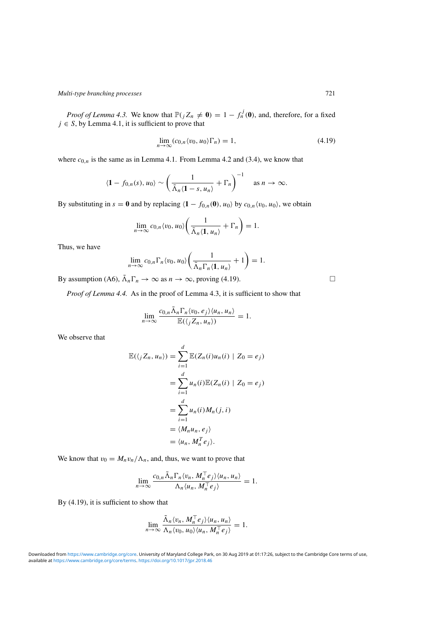*Proof of Lemma* [4.3.](#page-14-0) We know that  $\mathbb{P}(jZ_n \neq \mathbf{0}) = 1 - f_n^j(\mathbf{0})$ , and, therefore, for a fixed  $j \in S$ , by Lemma [4.1,](#page-13-0) it is sufficient to prove that

$$
\lim_{n \to \infty} (c_{0,n} \langle v_0, u_0 \rangle \Gamma_n) = 1,
$$
\n(4.19)

where  $c_{0,n}$  is the same as in Lemma [4.1.](#page-13-0) From Lemma [4.2](#page-13-0) and [\(3.4\)](#page-9-0), we know that

$$
\langle \mathbf{1} - f_{0,n}(s), u_0 \rangle \sim \left( \frac{1}{\tilde{\Lambda}_n \langle \mathbf{1} - s, u_n \rangle} + \Gamma_n \right)^{-1} \quad \text{as } n \to \infty.
$$

By substituting in  $s = 0$  and by replacing  $\langle 1 - f_{0,n}(0), u_0 \rangle$  by  $c_{0,n} \langle v_0, u_0 \rangle$ , we obtain

$$
\lim_{n\to\infty}c_{0,n}\langle v_0,u_0\rangle\bigg(\frac{1}{\tilde{\Lambda}_n\langle\mathbf{1},u_n\rangle}+\Gamma_n\bigg)=1.
$$

Thus, we have

$$
\lim_{n\to\infty}c_{0,n}\Gamma_n\langle v_0,u_0\rangle\bigg(\frac{1}{\tilde{\Lambda}_n\Gamma_n\langle\mathbf{1},u_n\rangle}+1\bigg)=1.
$$

By assumption (A6),  $\tilde{\Lambda}_n \Gamma_n \to \infty$  as  $n \to \infty$ , proving (4.19).

*Proof of Lemma [4.4.](#page-14-0)* As in the proof of Lemma [4.3,](#page-14-0) it is sufficient to show that

$$
\lim_{n\to\infty}\frac{c_{0,n}\tilde{\Lambda}_n\Gamma_n\langle v_0,e_j\rangle\langle u_n,u_n\rangle}{\mathbb{E}(\langle jZ_n,u_n\rangle)}=1.
$$

We observe that

$$
\mathbb{E}(\langle j Z_n, u_n \rangle) = \sum_{i=1}^d \mathbb{E}(Z_n(i)u_n(i) | Z_0 = e_j)
$$
  
= 
$$
\sum_{i=1}^d u_n(i) \mathbb{E}(Z_n(i) | Z_0 = e_j)
$$
  
= 
$$
\sum_{i=1}^d u_n(i)M_n(j, i)
$$
  
= 
$$
\langle M_n u_n, e_j \rangle
$$
  
= 
$$
\langle u_n, M_n^T e_j \rangle.
$$

We know that  $v_0 = M_n v_n / \Lambda_n$ , and, thus, we want to prove that

$$
\lim_{n\to\infty}\frac{c_{0,n}\tilde{\Lambda}_n\Gamma_n\langle v_n, M_n^\top e_j\rangle\langle u_n, u_n\rangle}{\Lambda_n\langle u_n, M_n^\top e_j\rangle}=1.
$$

By (4.19), it is sufficient to show that

$$
\lim_{n\to\infty}\frac{\tilde{\Lambda}_n\langle v_n, M_n^\top e_j\rangle\langle u_n, u_n\rangle}{\Lambda_n\langle v_0, u_0\rangle\langle u_n, M_n^\top e_j\rangle}=1.
$$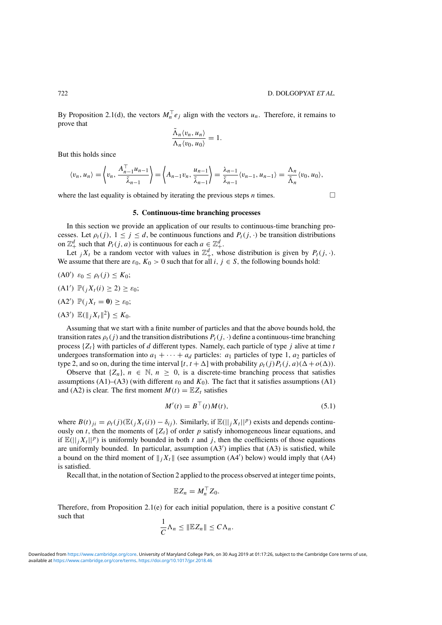<span id="page-21-0"></span>By Proposition [2.1\(](#page-3-0)d), the vectors  $M_n^{\top} e_j$  align with the vectors  $u_n$ . Therefore, it remains to prove that

$$
\frac{\tilde{\Lambda}_n \langle v_n, u_n \rangle}{\Lambda_n \langle v_0, u_0 \rangle} = 1.
$$

But this holds since

$$
\langle v_n, u_n \rangle = \left\langle v_n, \frac{A_{n-1}^{\top} u_{n-1}}{\tilde{\lambda}_{n-1}} \right\rangle = \left\langle A_{n-1} v_n, \frac{u_{n-1}}{\tilde{\lambda}_{n-1}} \right\rangle = \frac{\lambda_{n-1}}{\tilde{\lambda}_{n-1}} \langle v_{n-1}, u_{n-1} \rangle = \frac{\Lambda_n}{\tilde{\Lambda}_n} \langle v_0, u_0 \rangle,
$$

where the last equality is obtained by iterating the previous steps *n* times.  $\Box$ 

#### **5. Continuous-time branching processes**

In this section we provide an application of our results to continuous-time branching processes. Let  $\rho_t(j)$ ,  $1 \leq j \leq d$ , be continuous functions and  $P_t(j)$ .  $\phi$  be transition distributions on  $\mathbb{Z}_+^d$  such that  $P_t(j, a)$  is continuous for each  $a \in \mathbb{Z}_+^d$ .

Let  $jX_t$  be a random vector with values in  $\mathbb{Z}_+^d$ , whose distribution is given by  $P_t(j, \cdot)$ . We assume that there are  $\varepsilon_0$ ,  $K_0 > 0$  such that for all  $i, j \in S$ , the following bounds hold:

- (A0<sup>'</sup>)  $\varepsilon_0$  ≤  $\rho_t(j)$  ≤ K<sub>0</sub>;
- $(A1') \mathbb{P}(jX_t(i) \geq 2) \geq \varepsilon_0;$
- $(A2') \mathbb{P}(jX_t = 0) \geq \varepsilon_0;$
- $(A3') \mathbb{E}(\|jX_t\|^2) \leq K_0.$

Assuming that we start with a finite number of particles and that the above bounds hold, the transition rates  $\rho_t(j)$  and the transition distributions  $P_t(j, \cdot)$  define a continuous-time branching process  $\{Z_t\}$  with particles of *d* different types. Namely, each particle of type *j* alive at time *t* undergoes transformation into  $a_1 + \cdots + a_d$  particles:  $a_1$  particles of type 1,  $a_2$  particles of type 2, and so on, during the time interval  $[t, t + \Delta]$  with probability  $\rho_t(j)P_t(j, a)(\Delta + o(\Delta))$ .

Observe that  $\{Z_n\}$ ,  $n \in \mathbb{N}$ ,  $n \geq 0$ , is a discrete-time branching process that satisfies assumptions (A1)–(A3) (with different  $\varepsilon_0$  and  $K_0$ ). The fact that it satisfies assumptions (A1) and (A2) is clear. The first moment  $M(t) = \mathbb{E}Z_t$  satisfies

$$
M'(t) = B^{\top}(t)M(t),\tag{5.1}
$$

where  $B(t)_{ji} = \rho_t(j) (\mathbb{E}(\cdot_j X_t(i)) - \delta_{ij})$ . Similarly, if  $\mathbb{E}(\vert \cdot_j X_t \vert \vert^p)$  exists and depends continuously on *t*, then the moments of  $\{Z_t\}$  of order *p* satisfy inhomogeneous linear equations, and if  $\mathbb{E}(||i X_t||^p)$  is uniformly bounded in both *t* and *j*, then the coefficients of those equations are uniformly bounded. In particular, assumption (A3') implies that (A3) is satisfied, while a bound on the third moment of  $||jX_t||$  (see assumption (A4') below) would imply that (A4) is satisfied.

Recall that, in the notation of Section [2](#page-2-0) applied to the process observed at integer time points,

$$
\mathbb{E} Z_n = M_n^\top Z_0.
$$

Therefore, from Proposition [2.1\(](#page-3-0)e) for each initial population, there is a positive constant *C* such that

$$
\frac{1}{C}\Lambda_n\leq \|\mathbb{E}Z_n\|\leq C\Lambda_n.
$$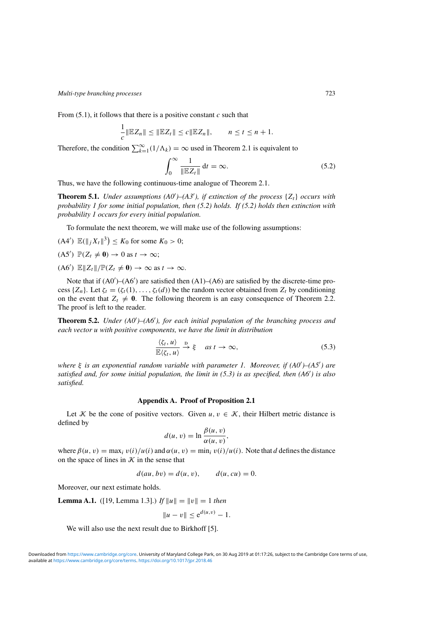<span id="page-22-0"></span>From [\(5.1\)](#page-21-0), it follows that there is a positive constant *c* such that

$$
\frac{1}{c} \|\mathbb{E} Z_n\| \le \|\mathbb{E} Z_t\| \le c \|\mathbb{E} Z_n\|, \qquad n \le t \le n+1.
$$

Therefore, the condition  $\sum_{k=1}^{\infty} (1/\Lambda_k) = \infty$  used in Theorem [2.1](#page-4-0) is equivalent to

$$
\int_0^\infty \frac{1}{\|\mathbb{E}Z_t\|} \, \mathrm{d}t = \infty. \tag{5.2}
$$

Thus, we have the following continuous-time analogue of Theorem [2.1.](#page-4-0)

**Theorem 5.1.** *Under assumptions*  $(A0')-(A3')$ *, if extinction of the process*  $\{Z_t\}$  *occurs with probability 1 for some initial population, then (5.2) holds. If (5.2) holds then extinction with probability 1 occurs for every initial population.*

To formulate the next theorem, we will make use of the following assumptions:

 $(A4')$   $\mathbb{E}(\|jX_t\|^3) \le K_0$  for some  $K_0 > 0$ ;

$$
(A5') \mathbb{P}(Z_t \neq \mathbf{0}) \to 0 \text{ as } t \to \infty;
$$

 $(A6')$   $\mathbb{E} \|Z_t\| / \mathbb{P}(Z_t \neq 0) \to \infty$  as  $t \to \infty$ .

Note that if  $(A0')-(A6')$  are satisfied then  $(A1)-(A6)$  are satisfied by the discrete-time process  $\{Z_n\}$ . Let  $\zeta_t = (\zeta_t(1), \ldots, \zeta_t(d))$  be the random vector obtained from  $Z_t$  by conditioning on the event that  $Z_t \neq 0$ . The following theorem is an easy consequence of Theorem [2.2.](#page-5-0) The proof is left to the reader.

**Theorem 5.2.** *Under*  $(A0')-(A6')$ *, for each initial population of the branching process and each vector u with positive components, we have the limit in distribution*

$$
\frac{\langle \zeta_t, u \rangle}{\mathbb{E} \langle \zeta_t, u \rangle} \xrightarrow{\mathbf{D}} \xi \quad \text{as } t \to \infty,
$$
\n(5.3)

*where*  $\xi$  *is an exponential random variable with parameter 1. Moreover, if (A0')–(A5') are* satisfied and, for some initial population, the limit in (5.3) is as specified, then (A6<sup>'</sup>) is also *satisfied.*

#### **Appendix A. Proof of Proposition [2.1](#page-3-0)**

Let K be the cone of positive vectors. Given  $u, v \in \mathcal{K}$ , their Hilbert metric distance is defined by

$$
d(u, v) = \ln \frac{\beta(u, v)}{\alpha(u, v)},
$$

where  $\beta(u, v) = \max_i v(i)/u(i)$  and  $\alpha(u, v) = \min_i v(i)/u(i)$ . Note that *d* defines the distance on the space of lines in  $K$  in the sense that

$$
d(au, bv) = d(u, v), \qquad d(u, cu) = 0.
$$

Moreover, our next estimate holds.

**Lemma A.1.** ([\[19,](#page-26-0) Lemma 1.3].) *If*  $||u|| = ||v|| = 1$  *then* 

$$
||u - v|| \le e^{d(u, v)} - 1.
$$

We will also use the next result due to Birkhoff [\[5\]](#page-26-0).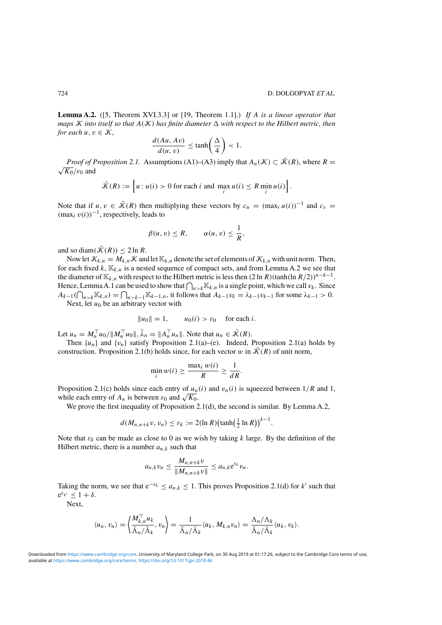**Lemma A.2.** ([\[5,](#page-26-0) Theorem XVI.3.3] or [\[19,](#page-26-0) Theorem 1.1].) *If A is a linear operator that maps*  $K$  *into itself so that*  $A(K)$  *has finite diameter*  $\Delta$  *with respect to the Hilbert metric, then for each*  $u, v \in \mathcal{K}$ ,

$$
\frac{d(Au, Av)}{d(u, v)} \le \tanh\left(\frac{\Delta}{4}\right) < 1.
$$

*Proof of Proposition [2.1.](#page-3-0)* Assumptions (A1)–(A3) imply that  $A_n(\mathcal{K}) \subset \overline{\mathcal{K}}(R)$ , where  $R = \sqrt{K_0/\varepsilon_0}$  and

$$
\bar{\mathcal{K}}(R) := \left\{ u : u(i) > 0 \text{ for each } i \text{ and } \max_{i} u(i) \le R \min_{i} u(i) \right\}.
$$

Note that if *u, v* ∈  $\bar{\mathcal{K}}(R)$  then multiplying these vectors by  $c_u = (\max_i u(i))^{-1}$  and  $c_v =$  $(\max_i v(i))^{-1}$ , respectively, leads to

$$
\beta(u,v)\leq R, \qquad \alpha(u,v)\leq \frac{1}{R},
$$

and so diam $(\bar{K}(R)) \leq 2 \ln R$ .

Now let  $\mathcal{K}_{k,n} = M_{k,n} \mathcal{K}$  and let  $\mathbb{K}_{k,n}$  denote the set of elements of  $\mathcal{K}_{k,n}$  with unit norm. Then, for each fixed  $k$ ,  $\mathbb{K}_{k,n}$  is a nested sequence of compact sets, and from Lemma A.2 we see that the diameter of  $\mathbb{K}_{k,n}$  with respect to the Hilbert metric is less then  $(2 \ln R)(\tanh(\ln R/2))^{n-k-1}$ . Hence, Lemma [A.1](#page-22-0) can be used to show that  $\bigcap_{n>k} \mathbb{K}_{k,n}$  is a single point, which we call  $v_k$ . Since *Ak*−1( $\bigcap_{n>k}$ K $K_{k,n}$ ) =  $\bigcap_{n>k-1}$ K $K_{k-1,n}$ , it follows that  $A_{k-1}v_k = \lambda_{k-1}v_{k-1}$  for some  $\lambda_{k-1} > 0$ .

Next, let  $u_0$  be an arbitrary vector with

$$
||u_0|| = 1, \t u_0(i) > \varepsilon_0 \t \text{for each } i.
$$

Let  $u_n = M_n^{\top} u_0 / \|M_n^{\top} u_0\|$ ,  $\tilde{\lambda}_n = \|A_n^{\top} u_n\|$ . Note that  $u_n \in \bar{\mathcal{K}}(R)$ .

Then  $\{u_n\}$  and  $\{v_n\}$  satisfy Proposition [2.1\(](#page-3-0)a)–(e). Indeed, Proposition 2.1(a) holds by construction. Proposition [2.1\(](#page-3-0)b) holds since, for each vector *w* in  $\overline{\mathcal{K}}(R)$  of unit norm,

$$
\min_i w(i) \ge \frac{\max_i w(i)}{R} \ge \frac{1}{dR}.
$$

Proposition [2.1\(](#page-3-0)c) holds since each entry of  $u_n(i)$  and  $v_n(i)$  is squeezed between  $1/R$  and 1, while each entry of  $A_n$  is between  $\varepsilon_0$  and  $\sqrt{K_0}$ .

We prove the first inequality of Proposition [2.1\(](#page-3-0)d), the second is similar. By Lemma A.2,

*.*

$$
d(M_{n,n+k}v, v_n) \leq \varepsilon_k := 2(\ln R) \left(\tanh\left(\frac{1}{2}\ln R\right)\right)^{k-1}
$$

Note that  $\varepsilon_k$  can be made as close to 0 as we wish by taking k large. By the definition of the Hilbert metric, there is a number  $a_{n,k}$  such that

$$
a_{n,k}v_n \leq \frac{M_{n,n+k}v}{\|M_{n,n+k}v\|} \leq a_{n,k}e^{\varepsilon_k}v_n.
$$

Taking the norm, we see that  $e^{-\epsilon_k} \le a_{n,k} \le 1$ . This proves Proposition [2.1\(](#page-3-0)d) for *k'* such that  $e^{\varepsilon_{k'}} \leq 1 + \delta.$ 

Next,

$$
\langle u_n, v_n \rangle = \left\langle \frac{M_{k,n}^\top u_k}{\tilde{\Lambda}_n / \tilde{\Lambda}_k}, v_n \right\rangle = \frac{1}{\tilde{\Lambda}_n / \tilde{\Lambda}_k} \langle u_k, M_{k,n} v_n \rangle = \frac{\Lambda_n / \Lambda_k}{\tilde{\Lambda}_n / \tilde{\Lambda}_k} \langle u_k, v_k \rangle.
$$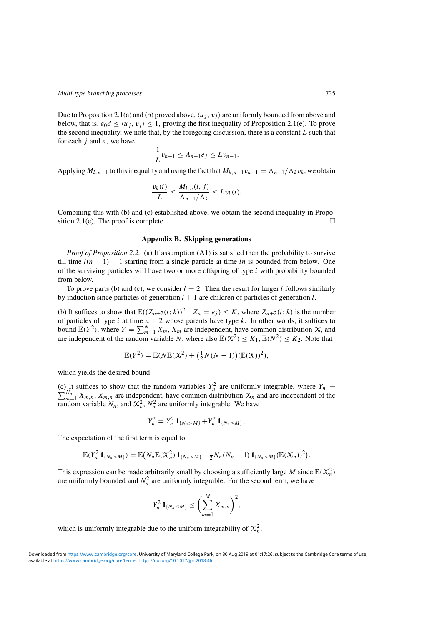<span id="page-24-0"></span>Due to Proposition [2.1\(](#page-3-0)a) and (b) proved above,  $\langle u_i, v_j \rangle$  are uniformly bounded from above and below, that is,  $\varepsilon_0 d \leq \langle u_i, v_i \rangle \leq 1$ , proving the first inequality of Proposition [2.1\(](#page-3-0)e). To prove the second inequality, we note that, by the foregoing discussion, there is a constant *L* such that for each *j* and *n,* we have

$$
\frac{1}{L}v_{n-1} \leq A_{n-1}e_j \leq Lv_{n-1}.
$$

Applying  $M_{k,n-1}$  to this inequality and using the fact that  $M_{k,n-1}v_{n-1} = \Lambda_{n-1}/\Lambda_k v_k$ , we obtain

$$
\frac{v_k(i)}{L} \le \frac{M_{k,n}(i,j)}{\Lambda_{n-1}/\Lambda_k} \le Lv_k(i).
$$

Combining this with (b) and (c) established above, we obtain the second inequality in Propo-sition [2.1\(](#page-3-0)e). The proof is complete.  $\Box$ 

## **Appendix B. Skipping generations**

*Proof of Proposition [2.2.](#page-6-0)* (a) If assumption (A1) is satisfied then the probability to survive till time  $l(n + 1) - 1$  starting from a single particle at time *ln* is bounded from below. One of the surviving particles will have two or more offspring of type *i* with probability bounded from below.

To prove parts (b) and (c), we consider  $l = 2$ . Then the result for larger *l* follows similarly by induction since particles of generation  $l + 1$  are children of particles of generation  $l$ .

(b) It suffices to show that  $\mathbb{E}((Z_{n+2}(i; k))^2 \mid Z_n = e_j) \leq \overline{K}$ , where  $Z_{n+2}(i; k)$  is the number of particles of type *i* at time  $n + 2$  whose parents have type *k*. In other words, it suffices to bound  $\mathbb{E}(Y^2)$ , where  $Y = \sum_{m=1}^{N} X_m$ ,  $X_m$  are independent, have common distribution  $\mathcal{X}$ , and are independent of the random variable *N*, where also  $\mathbb{E}(\mathcal{X}^2) \leq K_1, \mathbb{E}(N^2) \leq K_2$ . Note that

$$
\mathbb{E}(Y^2) = \mathbb{E}(N\mathbb{E}(X^2) + \left(\frac{1}{2}N(N-1)\right)(\mathbb{E}(X))^2),
$$

which yields the desired bound.

(c) It suffices to show that the random variables  $Y_n^2$  are uniformly integrable, where  $Y_n = \sum_{n=1}^{N_n} Y_n$  are independent have common distribution  $Y_n$  and are independent of the  $\sum_{m=1}^{N_n} X_{m,n}$ ,  $X_{m,n}$  are independent, have common distribution  $X_n$  and are independent of the random variable  $N_n$ , and  $\mathcal{X}_n^2$ ,  $N_n^2$  are uniformly integrable. We have

$$
Y_n^2 = Y_n^2 \mathbf{1}_{\{N_n > M\}} + Y_n^2 \mathbf{1}_{\{N_n \leq M\}}.
$$

The expectation of the first term is equal to

$$
\mathbb{E}(Y_n^2 \mathbf{1}_{\{N_n > M\}}) = \mathbb{E}(N_n \mathbb{E}(X_n^2) \mathbf{1}_{\{N_n > M\}} + \frac{1}{2} N_n (N_n - 1) \mathbf{1}_{\{N_n > M\}} (\mathbb{E}(X_n))^2).
$$

This expression can be made arbitrarily small by choosing a sufficiently large *M* since  $\mathbb{E}(\mathcal{X}_n^2)$ are uniformly bounded and  $N_n^2$  are uniformly integrable. For the second term, we have

$$
Y_n^2 \mathbf{1}_{\{N_n \leq M\}} \leq \bigg(\sum_{m=1}^M X_{m,n}\bigg)^2,
$$

which is uniformly integrable due to the uniform integrability of  $\mathcal{X}_n^2$ .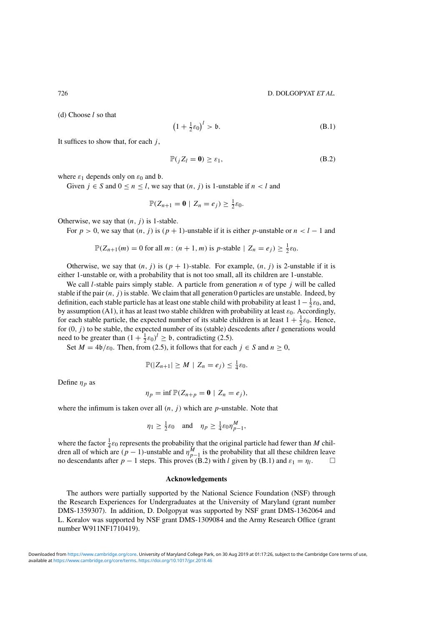(d) Choose *l* so that

$$
\left(1 + \frac{1}{2}\varepsilon_0\right)^l > \mathfrak{b}.\tag{B.1}
$$

It suffices to show that, for each *j* ,

$$
\mathbb{P}(jZ_l = \mathbf{0}) \ge \varepsilon_1,\tag{B.2}
$$

where  $\varepsilon_1$  depends only on  $\varepsilon_0$  and  $\mathfrak b$ .

Given  $j \in S$  and  $0 \le n \le l$ , we say that  $(n, j)$  is 1-unstable if  $n < l$  and

$$
\mathbb{P}(Z_{n+1}=\mathbf{0}\mid Z_n=e_j)\geq \frac{1}{2}\varepsilon_0.
$$

Otherwise, we say that  $(n, j)$  is 1-stable.

For  $p > 0$ , we say that  $(n, j)$  is  $(p + 1)$ -unstable if it is either *p*-unstable or  $n < l - 1$  and

$$
\mathbb{P}(Z_{n+1}(m) = 0 \text{ for all } m: (n+1, m) \text{ is } p\text{-stable} \mid Z_n = e_j) \geq \frac{1}{2}\varepsilon_0.
$$

Otherwise, we say that  $(n, j)$  is  $(p + 1)$ -stable. For example,  $(n, j)$  is 2-unstable if it is either 1-unstable or, with a probability that is not too small, all its children are 1-unstable.

We call *l*-stable pairs simply stable. A particle from generation *n* of type *j* will be called stable if the pair  $(n, j)$  is stable. We claim that all generation 0 particles are unstable. Indeed, by definition, each stable particle has at least one stable child with probability at least  $1-\frac{1}{2}\varepsilon_0$ , and, by assumption (A1), it has at least two stable children with probability at least  $\varepsilon_0$ . Accordingly, for each stable particle, the expected number of its stable children is at least  $1 + \frac{1}{2}\epsilon_0$ . Hence, for *(*0*,j)* to be stable, the expected number of its (stable) descedents after *l* generations would need to be greater than  $(1 + \frac{1}{2}\varepsilon_0)^l \ge 0$ , contradicting [\(2.5\)](#page-6-0).

Set  $M = 4\mathfrak{b}/\mathfrak{s}_0$ . Then, from [\(2.5\)](#page-6-0), it follows that for each  $j \in S$  and  $n \ge 0$ ,

$$
\mathbb{P}(|Z_{n+1}| \geq M \mid Z_n = e_j) \leq \frac{1}{4}\varepsilon_0.
$$

Define  $\eta_p$  as

$$
\eta_p = \inf \mathbb{P}(Z_{n+p} = \mathbf{0} \mid Z_n = e_j),
$$

where the infimum is taken over all  $(n, j)$  which are *p*-unstable. Note that

$$
\eta_1 \ge \frac{1}{2}\varepsilon_0
$$
 and  $\eta_p \ge \frac{1}{4}\varepsilon_0 \eta_{p-1}^M$ ,

where the factor  $\frac{1}{4}\varepsilon_0$  represents the probability that the original particle had fewer than *M* children all of which are  $(p-1)$ -unstable and  $\eta_{p-1}^M$  is the probability that all these children leave no descendants after  $p - 1$  steps. This proves (B.2) with *l* given by (B.1) and  $\varepsilon_1 = \eta_l$ .

#### **Acknowledgements**

The authors were partially supported by the National Science Foundation (NSF) through the Research Experiences for Undergraduates at the University of Maryland (grant number DMS-1359307). In addition, D. Dolgopyat was supported by NSF grant DMS-1362064 and L. Koralov was supported by NSF grant DMS-1309084 and the Army Research Office (grant number W911NF1710419).